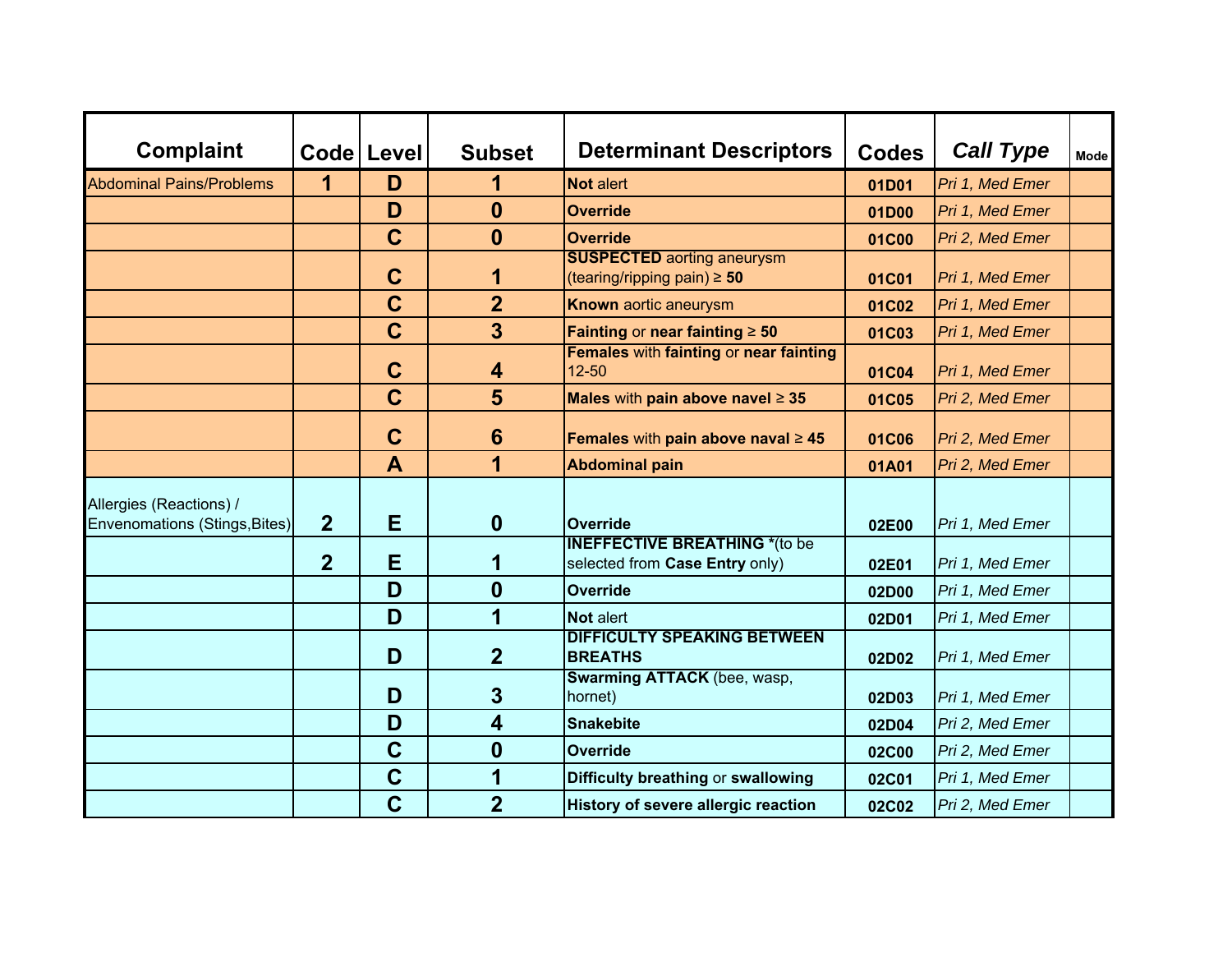| <b>Complaint</b>                                         |                | Code Level     | <b>Subset</b>           | <b>Determinant Descriptors</b>                                         | <b>Codes</b> | <b>Call Type</b> | <b>Mode</b> |
|----------------------------------------------------------|----------------|----------------|-------------------------|------------------------------------------------------------------------|--------------|------------------|-------------|
| <b>Abdominal Pains/Problems</b>                          | 1              | D              | 1                       | Not alert                                                              | 01D01        | Pri 1, Med Emer  |             |
|                                                          |                | D              | $\bf{0}$                | <b>Override</b>                                                        | 01D00        | Pri 1, Med Emer  |             |
|                                                          |                | $\mathbf C$    | $\boldsymbol{0}$        | <b>Override</b>                                                        | 01C00        | Pri 2, Med Emer  |             |
|                                                          |                | $\mathbf C$    | 1                       | <b>SUSPECTED aorting aneurysm</b><br>(tearing/ripping pain) $\geq 50$  | 01C01        | Pri 1, Med Emer  |             |
|                                                          |                | $\overline{C}$ | $\overline{2}$          | Known aortic aneurysm                                                  | 01C02        | Pri 1, Med Emer  |             |
|                                                          |                | $\mathbf C$    | $\overline{3}$          | Fainting or near fainting $\geq 50$                                    | 01C03        | Pri 1, Med Emer  |             |
|                                                          |                | $\mathbf C$    | 4                       | Females with fainting or near fainting<br>$12 - 50$                    | 01C04        | Pri 1, Med Emer  |             |
|                                                          |                | $\mathbf C$    | 5                       | Males with pain above navel $\geq 35$                                  | 01C05        | Pri 2, Med Emer  |             |
|                                                          |                | $\mathbf C$    | $6\phantom{1}6$         | Females with pain above naval $\geq 45$                                | 01C06        | Pri 2, Med Emer  |             |
|                                                          |                | A              | $\overline{\mathbf{1}}$ | <b>Abdominal pain</b>                                                  | 01A01        | Pri 2, Med Emer  |             |
| Allergies (Reactions) /<br>Envenomations (Stings, Bites) | $\overline{2}$ | E              | $\boldsymbol{0}$        | <b>Override</b>                                                        | 02E00        | Pri 1, Med Emer  |             |
|                                                          | $\overline{2}$ | Е              | 1                       | <b>INEFFECTIVE BREATHING *(to be</b><br>selected from Case Entry only) | 02E01        | Pri 1, Med Emer  |             |
|                                                          |                | D              | $\boldsymbol{0}$        | <b>Override</b>                                                        | 02D00        | Pri 1, Med Emer  |             |
|                                                          |                | D              | 1                       | <b>Not alert</b>                                                       | 02D01        | Pri 1, Med Emer  |             |
|                                                          |                | D              | $\overline{2}$          | <b>DIFFICULTY SPEAKING BETWEEN</b><br><b>BREATHS</b>                   | 02D02        | Pri 1, Med Emer  |             |
|                                                          |                | D              | 3                       | Swarming ATTACK (bee, wasp,<br>hornet)                                 | 02D03        | Pri 1, Med Emer  |             |
|                                                          |                | D              | $\overline{\mathbf{4}}$ | <b>Snakebite</b>                                                       | 02D04        | Pri 2, Med Emer  |             |
|                                                          |                | $\mathbf C$    | $\boldsymbol{0}$        | <b>Override</b>                                                        | 02C00        | Pri 2, Med Emer  |             |
|                                                          |                | $\mathbf C$    | 1                       | Difficulty breathing or swallowing                                     | 02C01        | Pri 1, Med Emer  |             |
|                                                          |                | $\mathbf C$    | $\overline{2}$          | History of severe allergic reaction                                    | 02C02        | Pri 2, Med Emer  |             |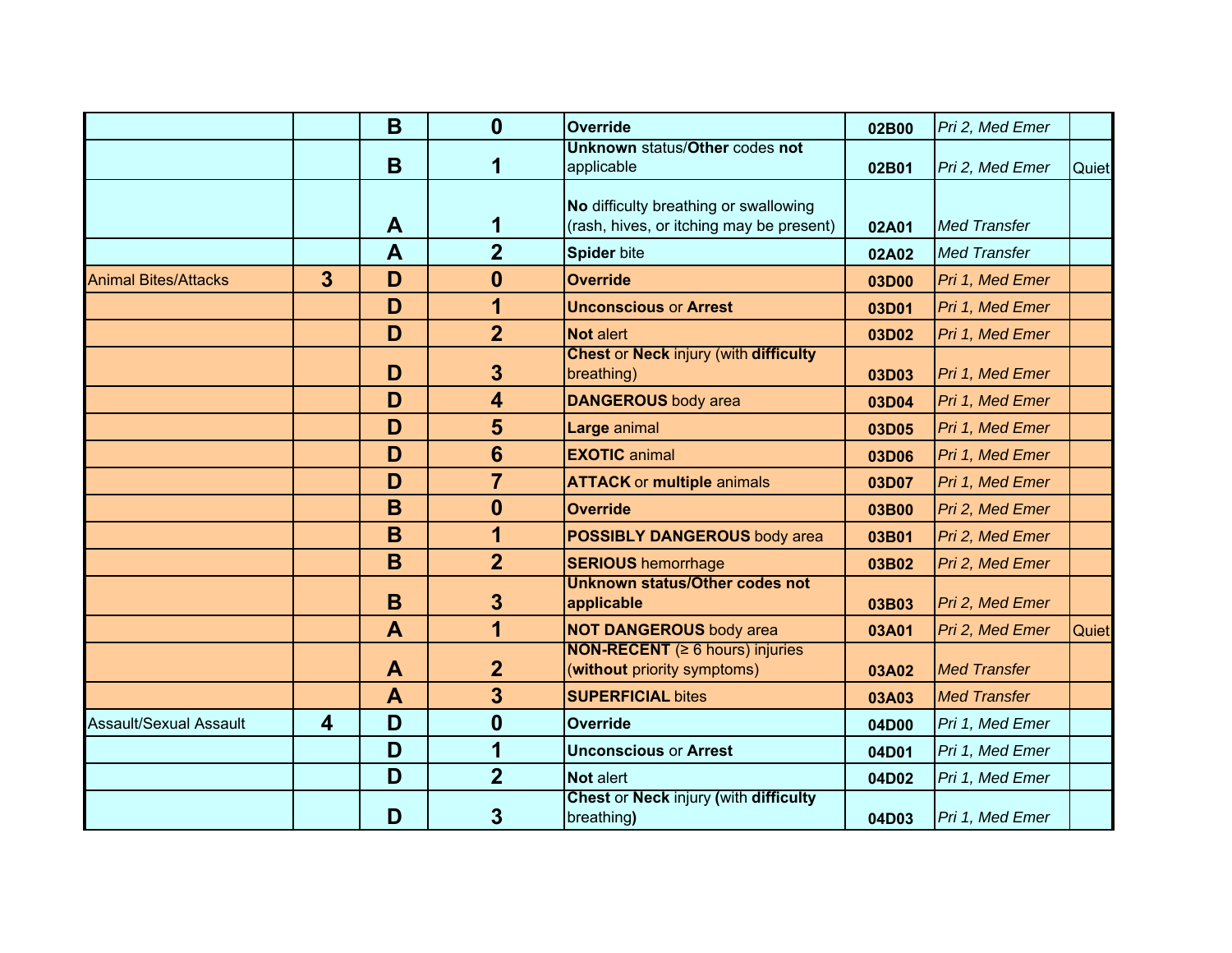|                               |                | B            | $\mathbf{0}$     | <b>Override</b>                                                                   | 02B00 | Pri 2, Med Emer     |       |
|-------------------------------|----------------|--------------|------------------|-----------------------------------------------------------------------------------|-------|---------------------|-------|
|                               |                | B            | 1                | <b>Unknown status/Other codes not</b><br>applicable                               | 02B01 | Pri 2, Med Emer     | Quiet |
|                               |                | A            | 1                | No difficulty breathing or swallowing<br>(rash, hives, or itching may be present) | 02A01 | <b>Med Transfer</b> |       |
|                               |                | A            | $\overline{2}$   | <b>Spider bite</b>                                                                | 02A02 | <b>Med Transfer</b> |       |
| <b>Animal Bites/Attacks</b>   | $\overline{3}$ | D            | $\bf{0}$         | <b>Override</b>                                                                   | 03D00 | Pri 1, Med Emer     |       |
|                               |                | D            | 1                | <b>Unconscious or Arrest</b>                                                      | 03D01 | Pri 1, Med Emer     |       |
|                               |                | D            | $\overline{2}$   | <b>Not alert</b>                                                                  | 03D02 | Pri 1, Med Emer     |       |
|                               |                | D            | $\mathbf{3}$     | <b>Chest or Neck injury (with difficulty</b><br>breathing)                        | 03D03 | Pri 1, Med Emer     |       |
|                               |                | D            | 4                | <b>DANGEROUS</b> body area                                                        | 03D04 | Pri 1, Med Emer     |       |
|                               |                | D            | 5                | Large animal                                                                      | 03D05 | Pri 1, Med Emer     |       |
|                               |                | D            | $6\phantom{1}$   | <b>EXOTIC</b> animal                                                              | 03D06 | Pri 1, Med Emer     |       |
|                               |                | D            | $\overline{7}$   | <b>ATTACK or multiple animals</b>                                                 | 03D07 | Pri 1, Med Emer     |       |
|                               |                | B            | $\mathbf{0}$     | <b>Override</b>                                                                   | 03B00 | Pri 2, Med Emer     |       |
|                               |                | B            | 1                | <b>POSSIBLY DANGEROUS body area</b>                                               | 03B01 | Pri 2, Med Emer     |       |
|                               |                | B            | $\overline{2}$   | <b>SERIOUS hemorrhage</b>                                                         | 03B02 | Pri 2, Med Emer     |       |
|                               |                | B            | 3                | <b>Unknown status/Other codes not</b><br>applicable                               | 03B03 | Pri 2, Med Emer     |       |
|                               |                | $\mathbf{A}$ | 1                | <b>NOT DANGEROUS body area</b>                                                    | 03A01 | Pri 2, Med Emer     | Quiet |
|                               |                | A            | $\overline{2}$   | <b>NON-RECENT</b> ( $\geq 6$ hours) injuries<br>(without priority symptoms)       | 03A02 | <b>Med Transfer</b> |       |
|                               |                | $\mathbf{A}$ | 3                | <b>SUPERFICIAL bites</b>                                                          | 03A03 | <b>Med Transfer</b> |       |
| <b>Assault/Sexual Assault</b> | 4              | D            | $\boldsymbol{0}$ | <b>Override</b>                                                                   | 04D00 | Pri 1, Med Emer     |       |
|                               |                | D            | 1                | <b>Unconscious or Arrest</b>                                                      | 04D01 | Pri 1, Med Emer     |       |
|                               |                | D            | $\overline{2}$   | Not alert                                                                         | 04D02 | Pri 1, Med Emer     |       |
|                               |                | D            | $\overline{3}$   | <b>Chest or Neck injury (with difficulty</b><br>breathing)                        | 04D03 | Pri 1, Med Emer     |       |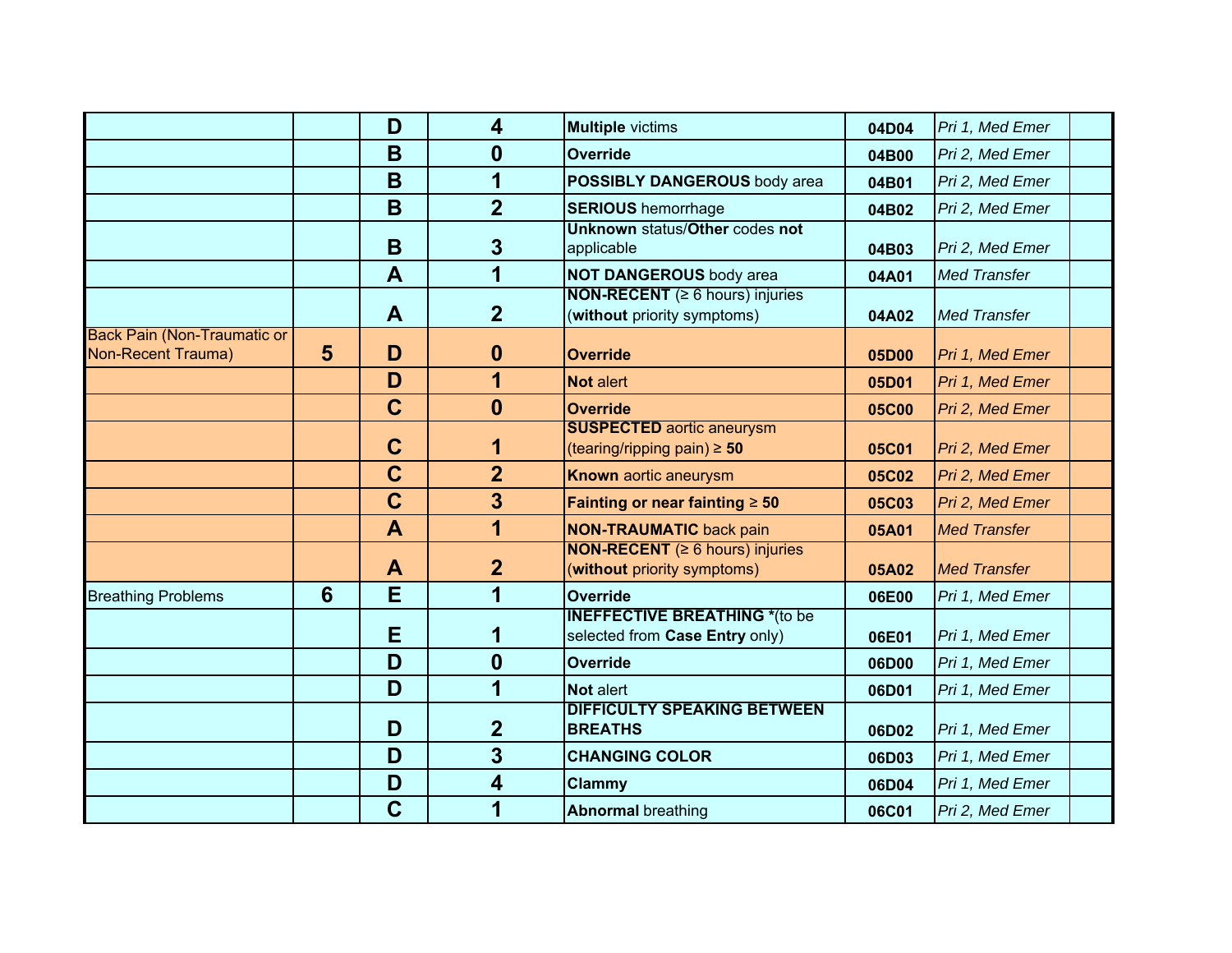|                                                          |                | D            | $\overline{\mathbf{4}}$ | <b>Multiple</b> victims                                                     | 04D04        | Pri 1, Med Emer     |  |
|----------------------------------------------------------|----------------|--------------|-------------------------|-----------------------------------------------------------------------------|--------------|---------------------|--|
|                                                          |                | B            | $\bf{0}$                | Override                                                                    | 04B00        | Pri 2, Med Emer     |  |
|                                                          |                | B            | 1                       | <b>POSSIBLY DANGEROUS body area</b>                                         | 04B01        | Pri 2, Med Emer     |  |
|                                                          |                | B            | $\overline{2}$          | <b>SERIOUS</b> hemorrhage                                                   | 04B02        | Pri 2, Med Emer     |  |
|                                                          |                | B            | $\mathbf{3}$            | <b>Unknown status/Other codes not</b><br>applicable                         | 04B03        | Pri 2, Med Emer     |  |
|                                                          |                | $\mathbf{A}$ | 1                       | <b>NOT DANGEROUS body area</b>                                              | 04A01        | <b>Med Transfer</b> |  |
|                                                          |                | A            | 2 <sup>1</sup>          | <b>NON-RECENT</b> ( $\geq 6$ hours) injuries<br>(without priority symptoms) | 04A02        | <b>Med Transfer</b> |  |
| <b>Back Pain (Non-Traumatic or</b><br>Non-Recent Trauma) | $5\phantom{1}$ | D            | $\mathbf 0$             | <b>Override</b>                                                             | 05D00        | Pri 1, Med Emer     |  |
|                                                          |                | D            | 1                       | Not alert                                                                   | 05D01        | Pri 1, Med Emer     |  |
|                                                          |                | $\mathbf C$  | $\mathbf{0}$            | <b>Override</b>                                                             | <b>05C00</b> | Pri 2, Med Emer     |  |
|                                                          |                | $\mathbf C$  | 1                       | <b>SUSPECTED aortic aneurysm</b><br>(tearing/ripping pain) $\geq 50$        | 05C01        | Pri 2, Med Emer     |  |
|                                                          |                | $\mathbf C$  | $\overline{2}$          | <b>Known aortic aneurysm</b>                                                | 05C02        | Pri 2, Med Emer     |  |
|                                                          |                | $\mathbf C$  | $\overline{3}$          | Fainting or near fainting $\geq 50$                                         | 05C03        | Pri 2, Med Emer     |  |
|                                                          |                | $\mathbf{A}$ | $\overline{1}$          | <b>NON-TRAUMATIC back pain</b>                                              | 05A01        | <b>Med Transfer</b> |  |
|                                                          |                | A            | $\overline{2}$          | <b>NON-RECENT</b> ( $\geq 6$ hours) injuries<br>(without priority symptoms) | 05A02        | <b>Med Transfer</b> |  |
| <b>Breathing Problems</b>                                | $6\phantom{1}$ | E            | 1                       | Override                                                                    | 06E00        | Pri 1, Med Emer     |  |
|                                                          |                | Е            |                         | <b>INEFFECTIVE BREATHING *(to be</b><br>selected from Case Entry only)      | 06E01        | Pri 1, Med Emer     |  |
|                                                          |                | D            | $\boldsymbol{0}$        | <b>Override</b>                                                             | 06D00        | Pri 1, Med Emer     |  |
|                                                          |                | D            | 1                       | Not alert                                                                   | 06D01        | Pri 1, Med Emer     |  |
|                                                          |                | D            | $\overline{2}$          | <b>DIFFICULTY SPEAKING BETWEEN</b><br><b>BREATHS</b>                        | 06D02        | Pri 1, Med Emer     |  |
|                                                          |                | D            | 3                       | <b>CHANGING COLOR</b>                                                       | 06D03        | Pri 1, Med Emer     |  |
|                                                          |                | D            | 4                       | <b>Clammy</b>                                                               | 06D04        | Pri 1, Med Emer     |  |
|                                                          |                | $\mathbf C$  | 1                       | <b>Abnormal breathing</b>                                                   | <b>06C01</b> | Pri 2, Med Emer     |  |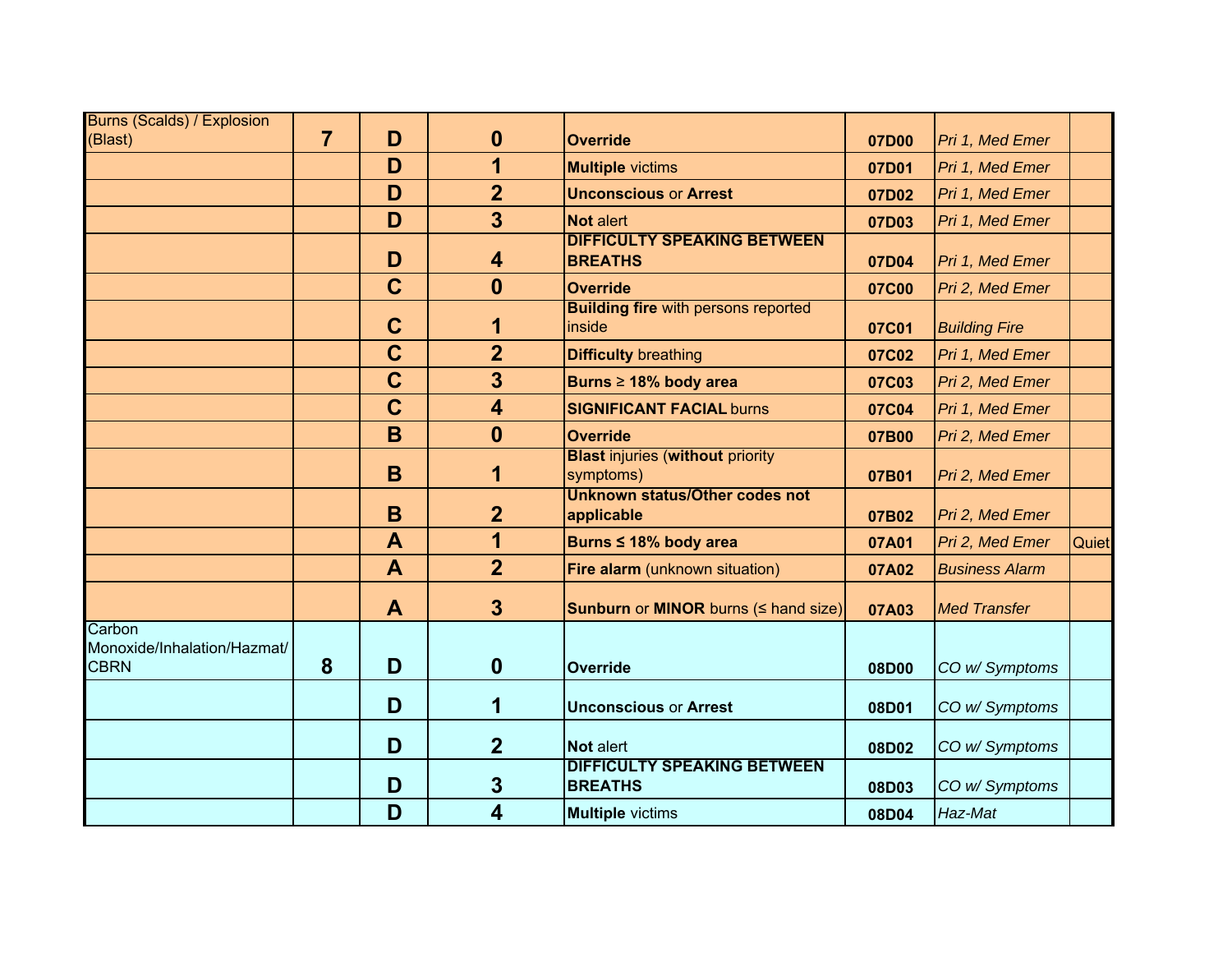| <b>Burns (Scalds) / Explosion</b><br>(Blast)         | $\overline{7}$ | D              | $\mathbf{0}$            | <b>Override</b>                                       | 07D00 | Pri 1, Med Emer       |       |
|------------------------------------------------------|----------------|----------------|-------------------------|-------------------------------------------------------|-------|-----------------------|-------|
|                                                      |                | D              | 1                       | <b>Multiple</b> victims                               | 07D01 | Pri 1, Med Emer       |       |
|                                                      |                | D              | $\overline{2}$          | <b>Unconscious or Arrest</b>                          | 07D02 | Pri 1, Med Emer       |       |
|                                                      |                | D              | $\overline{3}$          | <b>Not alert</b>                                      | 07D03 | Pri 1, Med Emer       |       |
|                                                      |                | D              | 4                       | <b>DIFFICULTY SPEAKING BETWEEN</b><br><b>BREATHS</b>  | 07D04 | Pri 1, Med Emer       |       |
|                                                      |                | $\mathbf C$    | $\mathbf{0}$            | <b>Override</b>                                       | 07C00 | Pri 2, Med Emer       |       |
|                                                      |                | $\mathbf C$    | 1                       | <b>Building fire</b> with persons reported<br>inside  | 07C01 | <b>Building Fire</b>  |       |
|                                                      |                | $\overline{C}$ | $\overline{2}$          | <b>Difficulty breathing</b>                           | 07C02 | Pri 1, Med Emer       |       |
|                                                      |                | $\mathbf C$    | $\overline{3}$          | Burns ≥ 18% body area                                 | 07C03 | Pri 2, Med Emer       |       |
|                                                      |                | $\mathbf C$    | $\overline{\mathbf{4}}$ | <b>SIGNIFICANT FACIAL burns</b>                       | 07C04 | Pri 1, Med Emer       |       |
|                                                      |                | B              | $\mathbf{0}$            | <b>Override</b>                                       | 07B00 | Pri 2, Med Emer       |       |
|                                                      |                | B              | 1                       | <b>Blast injuries (without priority)</b><br>symptoms) | 07B01 | Pri 2, Med Emer       |       |
|                                                      |                | B              | $\overline{2}$          | <b>Unknown status/Other codes not</b><br>applicable   | 07B02 | Pri 2, Med Emer       |       |
|                                                      |                | A              | 1                       | Burns ≤ 18% body area                                 | 07A01 | Pri 2, Med Emer       | Quiet |
|                                                      |                | $\mathbf{A}$   | $\overline{2}$          | Fire alarm (unknown situation)                        | 07A02 | <b>Business Alarm</b> |       |
|                                                      |                | $\mathbf{A}$   | $\overline{\mathbf{3}}$ | Sunburn or MINOR burns ( I hand size)                 | 07A03 | <b>Med Transfer</b>   |       |
| Carbon<br>Monoxide/Inhalation/Hazmat/<br><b>CBRN</b> | 8              | D              | $\boldsymbol{0}$        | <b>Override</b>                                       | 08D00 | CO w/ Symptoms        |       |
|                                                      |                | D              | 1                       | <b>Unconscious or Arrest</b>                          | 08D01 | CO w/ Symptoms        |       |
|                                                      |                | D              | $\overline{2}$          | <b>Not alert</b>                                      | 08D02 | CO w/ Symptoms        |       |
|                                                      |                | D              | 3                       | <b>DIFFICULTY SPEAKING BETWEEN</b><br><b>BREATHS</b>  | 08D03 | CO w/ Symptoms        |       |
|                                                      |                | D              | 4                       | <b>Multiple</b> victims                               | 08D04 | Haz-Mat               |       |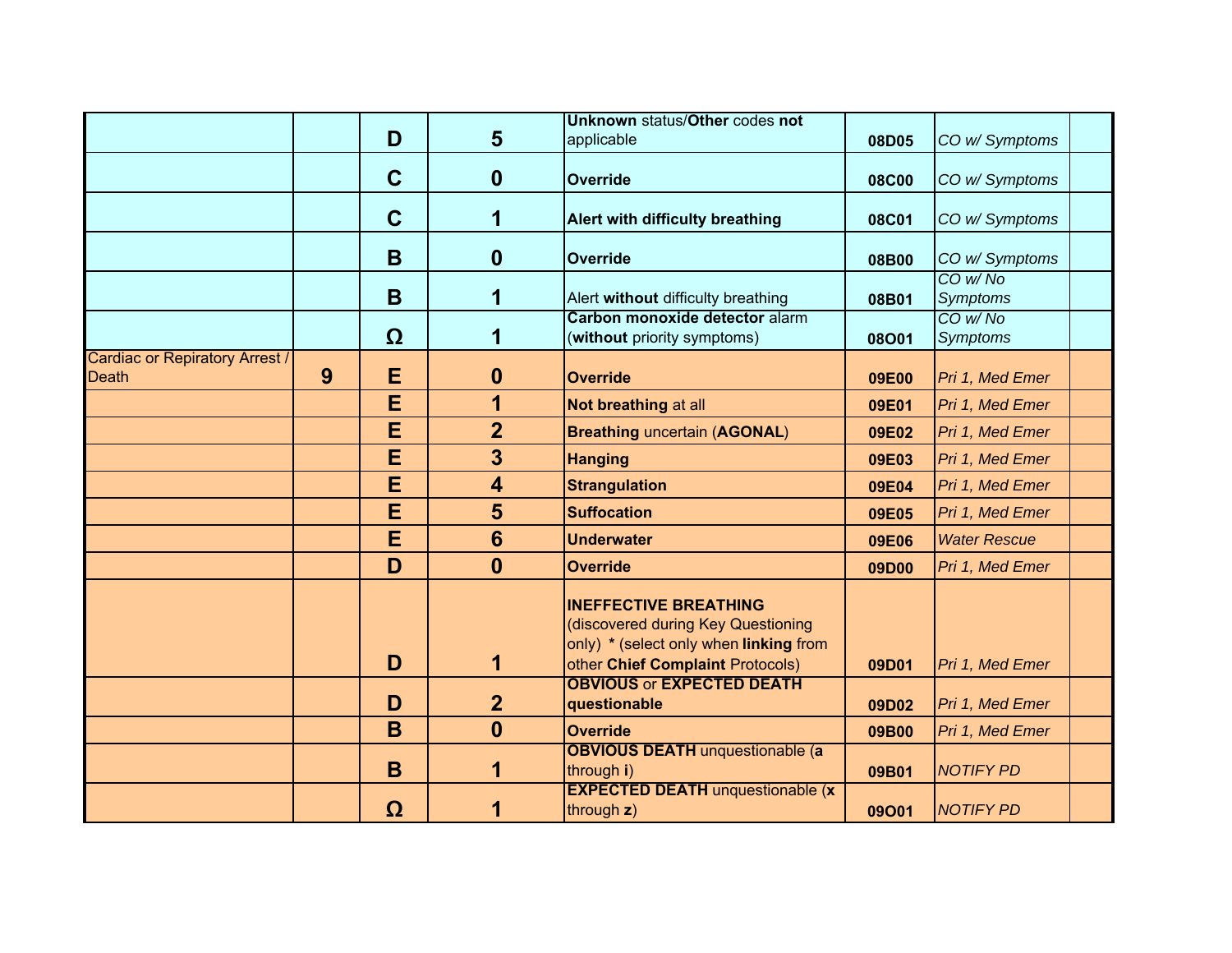|                                                       |   |             |                         | Unknown status/Other codes not                                                                                                                   |              |                            |  |
|-------------------------------------------------------|---|-------------|-------------------------|--------------------------------------------------------------------------------------------------------------------------------------------------|--------------|----------------------------|--|
|                                                       |   | D           | $5\phantom{1}$          | applicable                                                                                                                                       | 08D05        | CO w/ Symptoms             |  |
|                                                       |   | $\mathbf C$ | $\mathbf 0$             | <b>Override</b>                                                                                                                                  | <b>08C00</b> | CO w/ Symptoms             |  |
|                                                       |   | $\mathbf C$ | 1                       | Alert with difficulty breathing                                                                                                                  | <b>08C01</b> | CO w/ Symptoms             |  |
|                                                       |   | B           | $\mathbf 0$             | <b>Override</b>                                                                                                                                  | 08B00        | CO w/ Symptoms             |  |
|                                                       |   | B           | 1                       | Alert without difficulty breathing                                                                                                               | 08B01        | CO w/No<br><b>Symptoms</b> |  |
|                                                       |   | Ω           | 1                       | Carbon monoxide detector alarm<br>(without priority symptoms)                                                                                    | 08O01        | CO w/No<br><b>Symptoms</b> |  |
| <b>Cardiac or Repiratory Arrest /</b><br><b>Death</b> | 9 | E           | $\boldsymbol{0}$        | <b>Override</b>                                                                                                                                  | 09E00        | Pri 1, Med Emer            |  |
|                                                       |   | E           | 1                       | Not breathing at all                                                                                                                             | 09E01        | Pri 1, Med Emer            |  |
|                                                       |   | E           | $\overline{2}$          | <b>Breathing uncertain (AGONAL)</b>                                                                                                              | 09E02        | Pri 1, Med Emer            |  |
|                                                       |   | E           | 3                       | <b>Hanging</b>                                                                                                                                   | 09E03        | Pri 1, Med Emer            |  |
|                                                       |   | E           | $\overline{\mathbf{4}}$ | <b>Strangulation</b>                                                                                                                             | 09E04        | Pri 1, Med Emer            |  |
|                                                       |   | E           | 5                       | <b>Suffocation</b>                                                                                                                               | 09E05        | Pri 1, Med Emer            |  |
|                                                       |   | E           | $6\phantom{1}$          | <b>Underwater</b>                                                                                                                                | 09E06        | <b>Water Rescue</b>        |  |
|                                                       |   | D           | $\mathbf{0}$            | <b>Override</b>                                                                                                                                  | 09D00        | Pri 1, Med Emer            |  |
|                                                       |   | D           | 1                       | <b>INEFFECTIVE BREATHING</b><br>(discovered during Key Questioning<br>only) * (select only when linking from<br>other Chief Complaint Protocols) | 09D01        | Pri 1, Med Emer            |  |
|                                                       |   | D           | $\overline{2}$          | <b>OBVIOUS or EXPECTED DEATH</b><br>questionable                                                                                                 | 09D02        | Pri 1, Med Emer            |  |
|                                                       |   | B           | $\mathbf{0}$            | <b>Override</b>                                                                                                                                  | 09B00        | Pri 1, Med Emer            |  |
|                                                       |   | B           | 1                       | <b>OBVIOUS DEATH unquestionable (a)</b><br>through i)                                                                                            | 09B01        | <b>NOTIFY PD</b>           |  |
|                                                       |   | $\Omega$    | 1                       | <b>EXPECTED DEATH unquestionable (x</b><br>through z)                                                                                            | 09001        | <b>NOTIFY PD</b>           |  |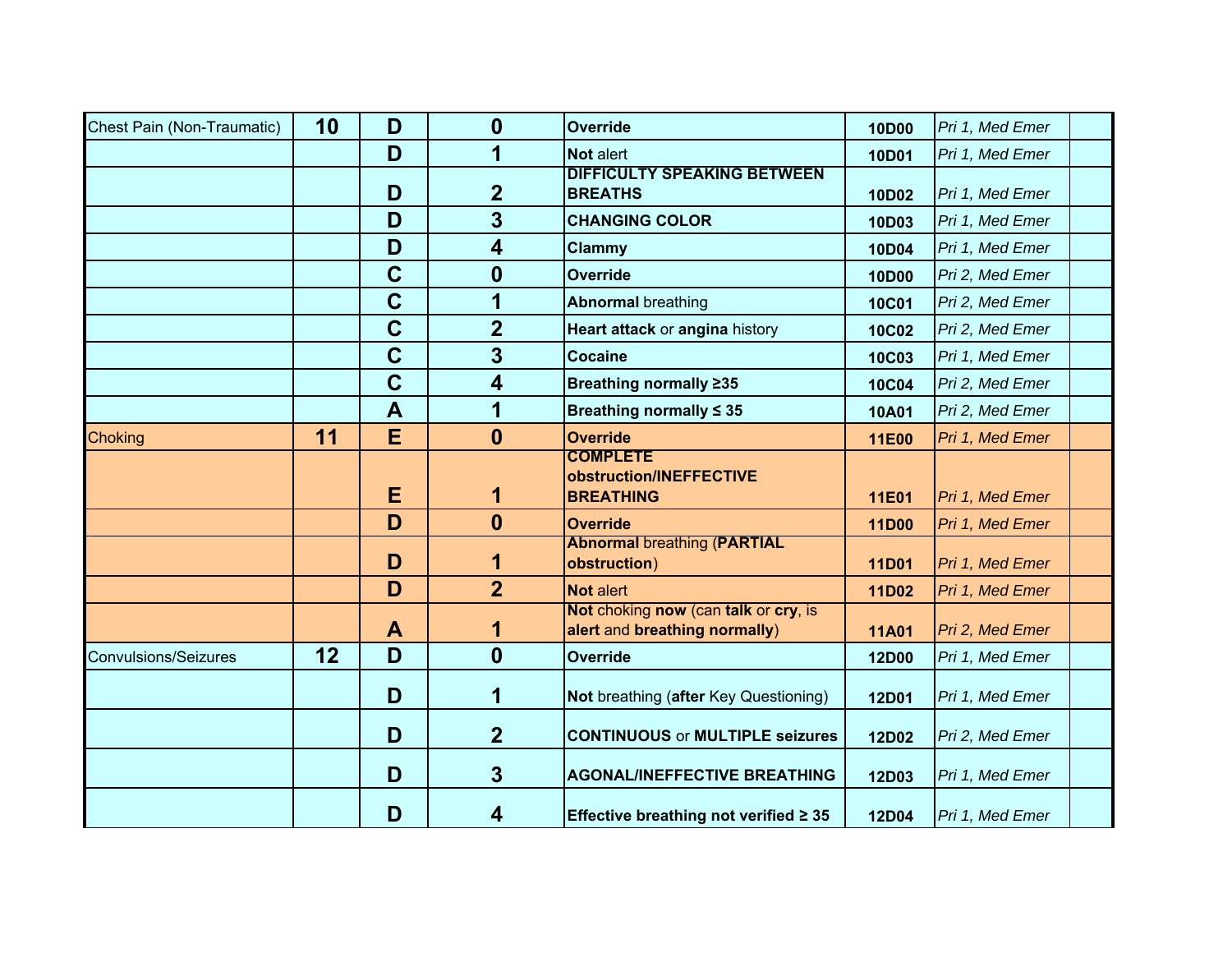| Chest Pain (Non-Traumatic)  | 10 | D           | 0                       | <b>Override</b>                                                       | <b>10D00</b> | Pri 1, Med Emer |  |
|-----------------------------|----|-------------|-------------------------|-----------------------------------------------------------------------|--------------|-----------------|--|
|                             |    | D           | 1                       | <b>Not alert</b>                                                      | 10D01        | Pri 1, Med Emer |  |
|                             |    | D           | $\boldsymbol{2}$        | <b>DIFFICULTY SPEAKING BETWEEN</b><br><b>BREATHS</b>                  | 10D02        | Pri 1, Med Emer |  |
|                             |    | D           | $\overline{\mathbf{3}}$ | <b>CHANGING COLOR</b>                                                 | 10D03        | Pri 1, Med Emer |  |
|                             |    | D           | $\overline{\mathbf{4}}$ | Clammy                                                                | 10D04        | Pri 1, Med Emer |  |
|                             |    | $\mathbf C$ | $\boldsymbol{0}$        | <b>Override</b>                                                       | 10D00        | Pri 2, Med Emer |  |
|                             |    | $\mathbf C$ | 1                       | <b>Abnormal breathing</b>                                             | <b>10C01</b> | Pri 2, Med Emer |  |
|                             |    | $\mathbf C$ | $\overline{2}$          | Heart attack or angina history                                        | <b>10C02</b> | Pri 2, Med Emer |  |
|                             |    | $\mathbf C$ | $\overline{\mathbf{3}}$ | <b>Cocaine</b>                                                        | <b>10C03</b> | Pri 1, Med Emer |  |
|                             |    | $\mathbf C$ | $\overline{\mathbf{4}}$ | Breathing normally ≥35                                                | <b>10C04</b> | Pri 2, Med Emer |  |
|                             |    | A           | 1                       | Breathing normally $\leq 35$                                          | <b>10A01</b> | Pri 2, Med Emer |  |
| Choking                     | 11 | E           | $\boldsymbol{0}$        | <b>Override</b>                                                       | 11E00        | Pri 1, Med Emer |  |
|                             |    | E           | 1                       | <b>COMPLETE</b><br>obstruction/INEFFECTIVE<br><b>BREATHING</b>        | 11E01        | Pri 1, Med Emer |  |
|                             |    | D           | $\boldsymbol{0}$        | <b>Override</b>                                                       | 11D00        | Pri 1, Med Emer |  |
|                             |    | D           | 1                       | <b>Abnormal breathing (PARTIAL</b><br>obstruction)                    | <b>11D01</b> | Pri 1, Med Emer |  |
|                             |    | D           | $\overline{2}$          | Not alert                                                             | 11D02        | Pri 1, Med Emer |  |
|                             |    | A           | 1                       | Not choking now (can talk or cry, is<br>alert and breathing normally) | <b>11A01</b> | Pri 2, Med Emer |  |
| <b>Convulsions/Seizures</b> | 12 | D           | $\boldsymbol{0}$        | <b>Override</b>                                                       | <b>12D00</b> | Pri 1, Med Emer |  |
|                             |    | D           | 1                       | Not breathing (after Key Questioning)                                 | <b>12D01</b> | Pri 1, Med Emer |  |
|                             |    | D           | $\overline{2}$          | <b>CONTINUOUS or MULTIPLE seizures</b>                                | 12D02        | Pri 2, Med Emer |  |
|                             |    | D           | $\overline{3}$          | <b>AGONAL/INEFFECTIVE BREATHING</b>                                   | 12D03        | Pri 1, Med Emer |  |
|                             |    | D           | 4                       | Effective breathing not verified $\geq 35$                            | 12D04        | Pri 1, Med Emer |  |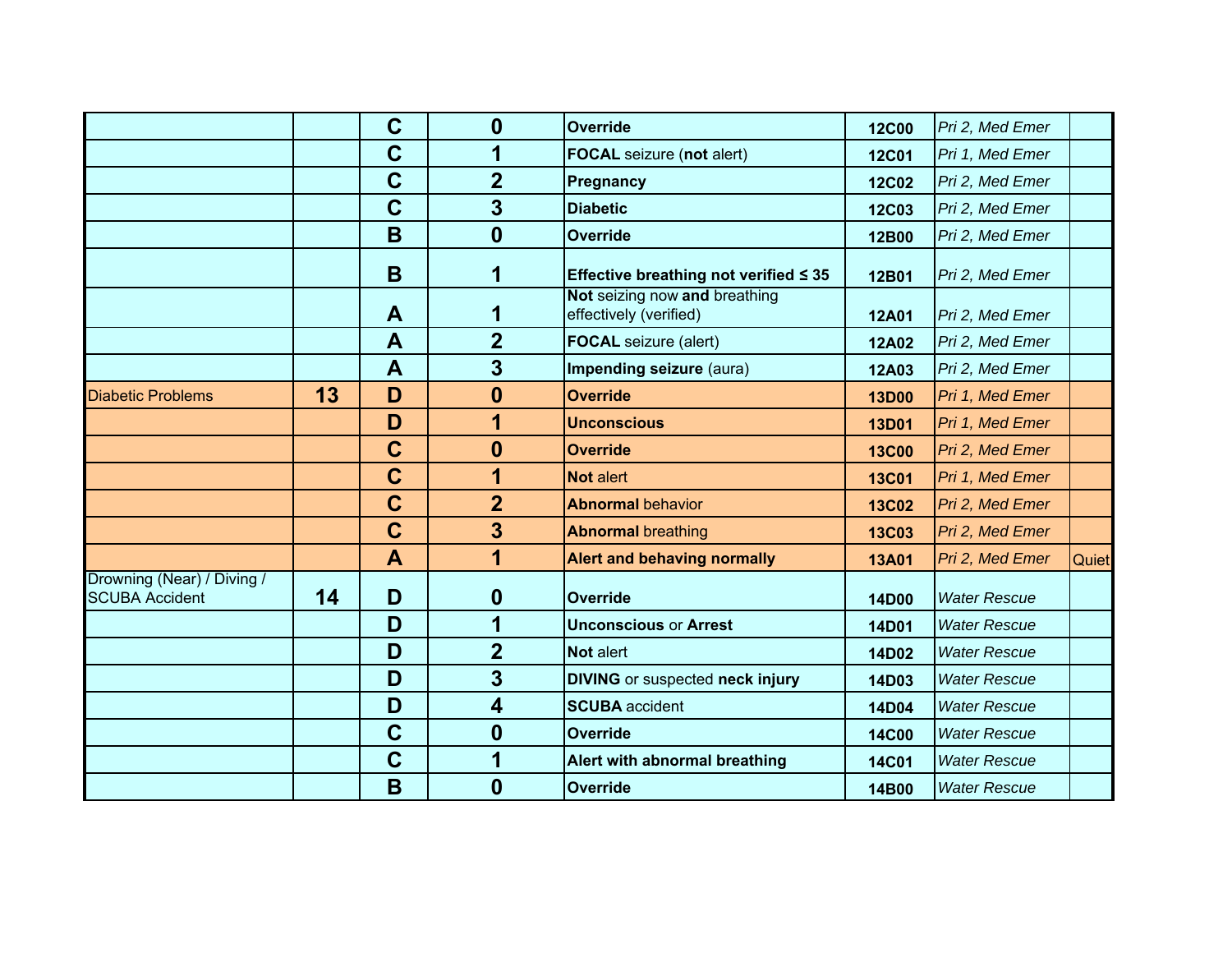|                                                     |    | $\mathbf C$  | $\boldsymbol{0}$        | Override                                                | <b>12C00</b> | Pri 2, Med Emer     |              |
|-----------------------------------------------------|----|--------------|-------------------------|---------------------------------------------------------|--------------|---------------------|--------------|
|                                                     |    | $\mathbf C$  | 1                       | <b>FOCAL</b> seizure (not alert)                        | <b>12C01</b> | Pri 1, Med Emer     |              |
|                                                     |    | $\mathbf C$  | $\overline{2}$          | Pregnancy                                               | <b>12C02</b> | Pri 2, Med Emer     |              |
|                                                     |    | $\mathbf C$  | 3                       | <b>Diabetic</b>                                         | <b>12C03</b> | Pri 2, Med Emer     |              |
|                                                     |    | B            | $\mathbf{0}$            | <b>Override</b>                                         | 12B00        | Pri 2, Med Emer     |              |
|                                                     |    | B            | 1                       | Effective breathing not verified $\leq 35$              | 12B01        | Pri 2, Med Emer     |              |
|                                                     |    | A            | 1                       | Not seizing now and breathing<br>effectively (verified) | <b>12A01</b> | Pri 2, Med Emer     |              |
|                                                     |    | A            | $\overline{2}$          | <b>FOCAL</b> seizure (alert)                            | <b>12A02</b> | Pri 2, Med Emer     |              |
|                                                     |    | $\mathbf{A}$ | 3                       | Impending seizure (aura)                                | 12A03        | Pri 2, Med Emer     |              |
| <b>Diabetic Problems</b>                            | 13 | D            | $\boldsymbol{0}$        | <b>Override</b>                                         | <b>13D00</b> | Pri 1, Med Emer     |              |
|                                                     |    | D            | 1                       | <b>Unconscious</b>                                      | <b>13D01</b> | Pri 1, Med Emer     |              |
|                                                     |    | $\mathbf C$  | $\mathbf{0}$            | <b>Override</b>                                         | <b>13C00</b> | Pri 2, Med Emer     |              |
|                                                     |    | $\mathbf C$  | 1                       | Not alert                                               | <b>13C01</b> | Pri 1, Med Emer     |              |
|                                                     |    | $\mathbf C$  | $\overline{2}$          | <b>Abnormal behavior</b>                                | <b>13C02</b> | Pri 2, Med Emer     |              |
|                                                     |    | $\mathbf C$  | 3                       | <b>Abnormal breathing</b>                               | <b>13C03</b> | Pri 2, Med Emer     |              |
|                                                     |    | A            | 1                       | <b>Alert and behaving normally</b>                      | <b>13A01</b> | Pri 2, Med Emer     | <b>Quiet</b> |
| Drowning (Near) / Diving /<br><b>SCUBA Accident</b> | 14 | D            | $\mathbf 0$             | <b>Override</b>                                         | <b>14D00</b> | <b>Water Rescue</b> |              |
|                                                     |    | D            | 1                       | <b>Unconscious or Arrest</b>                            | 14D01        | <b>Water Rescue</b> |              |
|                                                     |    | D            | $\overline{2}$          | <b>Not alert</b>                                        | 14D02        | <b>Water Rescue</b> |              |
|                                                     |    | D            | 3                       | <b>DIVING</b> or suspected neck injury                  | 14D03        | <b>Water Rescue</b> |              |
|                                                     |    | D            | $\overline{\mathbf{4}}$ | <b>SCUBA</b> accident                                   | 14D04        | <b>Water Rescue</b> |              |
|                                                     |    | $\mathbf C$  | $\boldsymbol{0}$        | <b>Override</b>                                         | <b>14C00</b> | <b>Water Rescue</b> |              |
|                                                     |    | $\mathbf C$  | 1                       | Alert with abnormal breathing                           | <b>14C01</b> | <b>Water Rescue</b> |              |
|                                                     |    | B            | $\boldsymbol{0}$        | <b>Override</b>                                         | 14B00        | <b>Water Rescue</b> |              |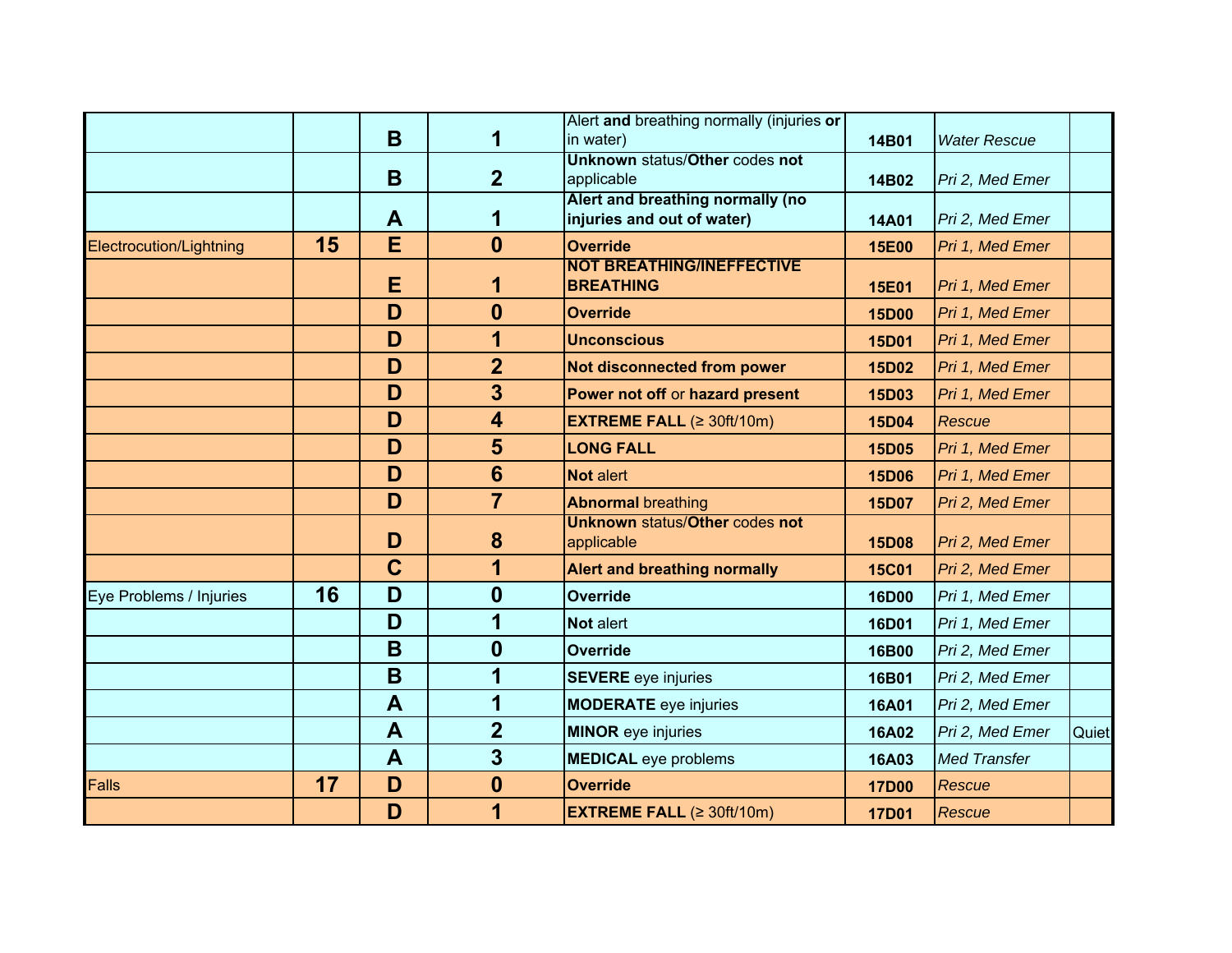|                         |    | B            |                         | Alert and breathing normally (injuries or<br>in water)         | 14B01        | <b>Water Rescue</b> |       |
|-------------------------|----|--------------|-------------------------|----------------------------------------------------------------|--------------|---------------------|-------|
|                         |    |              |                         | <b>Unknown status/Other codes not</b>                          |              |                     |       |
|                         |    | B            | $\overline{2}$          | applicable                                                     | 14B02        | Pri 2, Med Emer     |       |
|                         |    | A            | 1                       | Alert and breathing normally (no<br>injuries and out of water) | <b>14A01</b> | Pri 2, Med Emer     |       |
| Electrocution/Lightning | 15 | E            | $\mathbf{0}$            | <b>Override</b>                                                | <b>15E00</b> | Pri 1, Med Emer     |       |
|                         |    | Е            | 1                       | <b>NOT BREATHING/INEFFECTIVE</b><br><b>BREATHING</b>           | <b>15E01</b> | Pri 1, Med Emer     |       |
|                         |    | D            | $\mathbf{0}$            | <b>Override</b>                                                | <b>15D00</b> | Pri 1, Med Emer     |       |
|                         |    | D            | 1                       | <b>Unconscious</b>                                             | <b>15D01</b> | Pri 1, Med Emer     |       |
|                         |    | D            | $\overline{2}$          | Not disconnected from power                                    | <b>15D02</b> | Pri 1, Med Emer     |       |
|                         |    | D            | 3                       | Power not off or hazard present                                | <b>15D03</b> | Pri 1, Med Emer     |       |
|                         |    | D            | $\overline{\mathbf{4}}$ | <b>EXTREME FALL</b> $(≥ 30ft/10m)$                             | 15D04        | Rescue              |       |
|                         |    | D            | 5                       | <b>LONG FALL</b>                                               | <b>15D05</b> | Pri 1, Med Emer     |       |
|                         |    | D            | $6\phantom{1}$          | <b>Not alert</b>                                               | <b>15D06</b> | Pri 1, Med Emer     |       |
|                         |    | D            | $\overline{\mathbf{7}}$ | <b>Abnormal breathing</b>                                      | <b>15D07</b> | Pri 2, Med Emer     |       |
|                         |    | D            | 8                       | <b>Unknown status/Other codes not</b><br>applicable            | <b>15D08</b> | Pri 2, Med Emer     |       |
|                         |    | $\mathbf C$  | 1                       | <b>Alert and breathing normally</b>                            | <b>15C01</b> | Pri 2, Med Emer     |       |
| Eye Problems / Injuries | 16 | D            | $\bf{0}$                | Override                                                       | <b>16D00</b> | Pri 1, Med Emer     |       |
|                         |    | D            | 1                       | <b>Not alert</b>                                               | <b>16D01</b> | Pri 1, Med Emer     |       |
|                         |    | B            | $\bf{0}$                | <b>Override</b>                                                | 16B00        | Pri 2, Med Emer     |       |
|                         |    | B            | 1                       | <b>SEVERE</b> eye injuries                                     | 16B01        | Pri 2, Med Emer     |       |
|                         |    | A            | 1                       | <b>MODERATE</b> eye injuries                                   | <b>16A01</b> | Pri 2, Med Emer     |       |
|                         |    | $\mathbf{A}$ | $\overline{2}$          | <b>MINOR</b> eye injuries                                      | <b>16A02</b> | Pri 2, Med Emer     | Quiet |
|                         |    | A            | $\overline{\mathbf{3}}$ | <b>MEDICAL</b> eye problems                                    | 16A03        | <b>Med Transfer</b> |       |
| <b>Falls</b>            | 17 | D            | $\boldsymbol{0}$        | <b>Override</b>                                                | <b>17D00</b> | <b>Rescue</b>       |       |
|                         |    | D            | 1                       | <b>EXTREME FALL <math>(≥ 30ft/10m)</math></b>                  | <b>17D01</b> | Rescue              |       |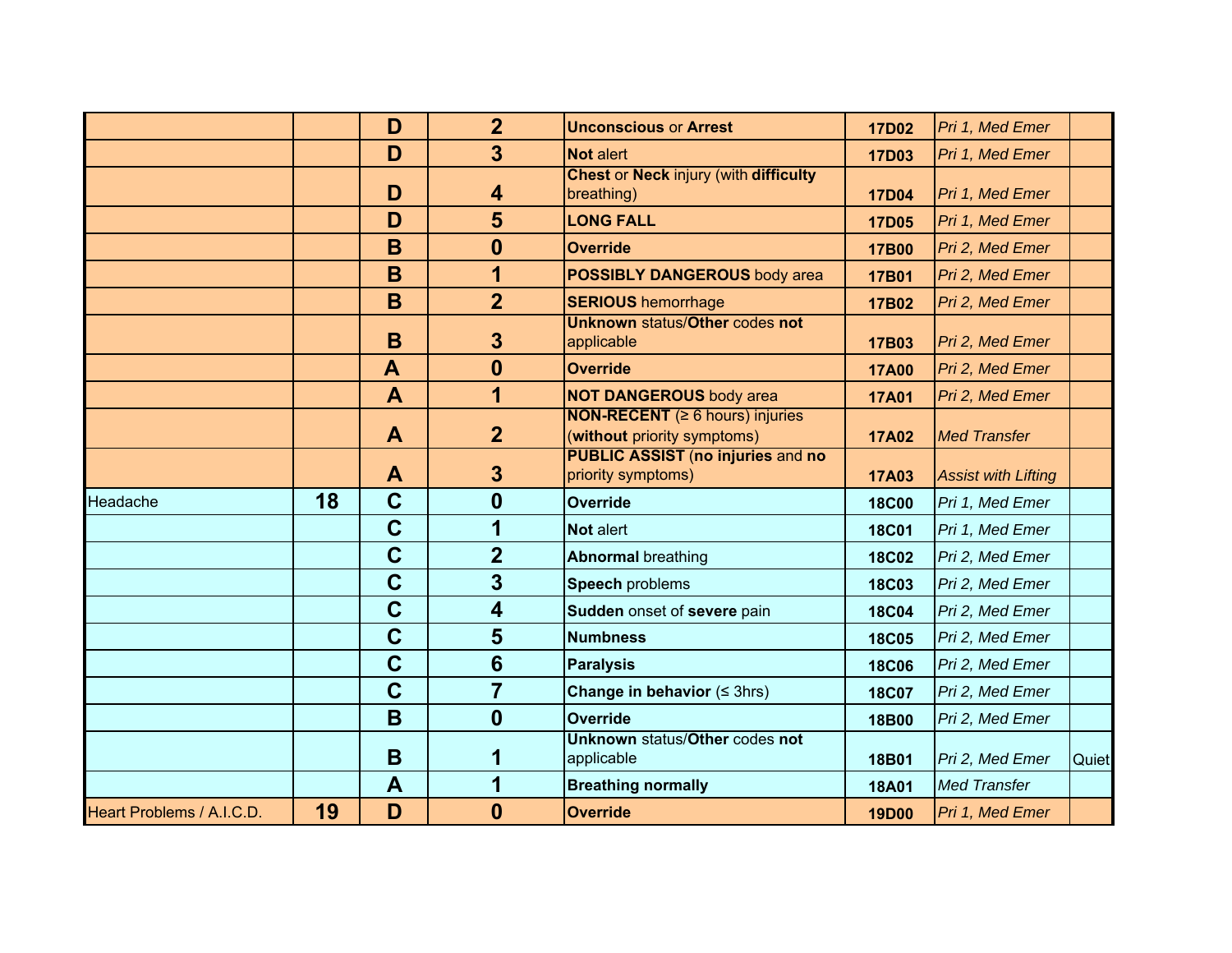|                           |    | D            | $\overline{2}$          | <b>Unconscious or Arrest</b>                                                | <b>17D02</b> | Pri 1, Med Emer            |       |
|---------------------------|----|--------------|-------------------------|-----------------------------------------------------------------------------|--------------|----------------------------|-------|
|                           |    | D            | $\overline{3}$          | <b>Not alert</b>                                                            | <b>17D03</b> | Pri 1, Med Emer            |       |
|                           |    | D            | 4                       | <b>Chest or Neck injury (with difficulty</b><br>breathing)                  | <b>17D04</b> | Pri 1, Med Emer            |       |
|                           |    | D            | 5                       | <b>LONG FALL</b>                                                            | <b>17D05</b> | Pri 1, Med Emer            |       |
|                           |    | B            | $\boldsymbol{0}$        | <b>Override</b>                                                             | <b>17B00</b> | Pri 2, Med Emer            |       |
|                           |    | B            | 1                       | <b>POSSIBLY DANGEROUS body area</b>                                         | 17B01        | Pri 2, Med Emer            |       |
|                           |    | B            | $\overline{2}$          | <b>SERIOUS</b> hemorrhage                                                   | 17B02        | Pri 2, Med Emer            |       |
|                           |    | B            | 3                       | <b>Unknown status/Other codes not</b><br>applicable                         | 17B03        | Pri 2, Med Emer            |       |
|                           |    | $\mathbf{A}$ | $\boldsymbol{0}$        | <b>Override</b>                                                             | <b>17A00</b> | Pri 2, Med Emer            |       |
|                           |    | $\mathbf{A}$ | 1                       | <b>NOT DANGEROUS body area</b>                                              | <b>17A01</b> | Pri 2, Med Emer            |       |
|                           |    | A            | $\overline{2}$          | <b>NON-RECENT</b> ( $\geq 6$ hours) injuries<br>(without priority symptoms) | <b>17A02</b> | <b>Med Transfer</b>        |       |
|                           |    | A            | $\mathbf{3}$            | <b>PUBLIC ASSIST (no injuries and no</b><br>priority symptoms)              | <b>17A03</b> | <b>Assist with Lifting</b> |       |
| Headache                  | 18 | $\mathbf C$  | $\boldsymbol{0}$        | <b>Override</b>                                                             | <b>18C00</b> | Pri 1, Med Emer            |       |
|                           |    | $\mathbf C$  | 1                       | Not alert                                                                   | <b>18C01</b> | Pri 1, Med Emer            |       |
|                           |    | $\mathbf C$  | $\overline{2}$          | <b>Abnormal breathing</b>                                                   | <b>18C02</b> | Pri 2, Med Emer            |       |
|                           |    | $\mathbf C$  | $\overline{\mathbf{3}}$ | Speech problems                                                             | <b>18C03</b> | Pri 2, Med Emer            |       |
|                           |    | $\mathbf C$  | $\overline{\mathbf{4}}$ | Sudden onset of severe pain                                                 | <b>18C04</b> | Pri 2, Med Emer            |       |
|                           |    | $\mathbf C$  | $5\phantom{1}$          | <b>Numbness</b>                                                             | <b>18C05</b> | Pri 2, Med Emer            |       |
|                           |    | $\mathbf C$  | $6\phantom{1}6$         | <b>Paralysis</b>                                                            | <b>18C06</b> | Pri 2, Med Emer            |       |
|                           |    | $\mathbf C$  | $\overline{7}$          | Change in behavior $( \leq 3$ hrs)                                          | <b>18C07</b> | Pri 2, Med Emer            |       |
|                           |    | B            | $\boldsymbol{0}$        | Override                                                                    | 18B00        | Pri 2, Med Emer            |       |
|                           |    | B            | 1                       | <b>Unknown status/Other codes not</b><br>applicable                         | 18B01        | Pri 2, Med Emer            | Quiet |
|                           |    | A            | 1                       | <b>Breathing normally</b>                                                   | <b>18A01</b> | <b>Med Transfer</b>        |       |
| Heart Problems / A.I.C.D. | 19 | D            | $\bf{0}$                | <b>Override</b>                                                             | <b>19D00</b> | Pri 1, Med Emer            |       |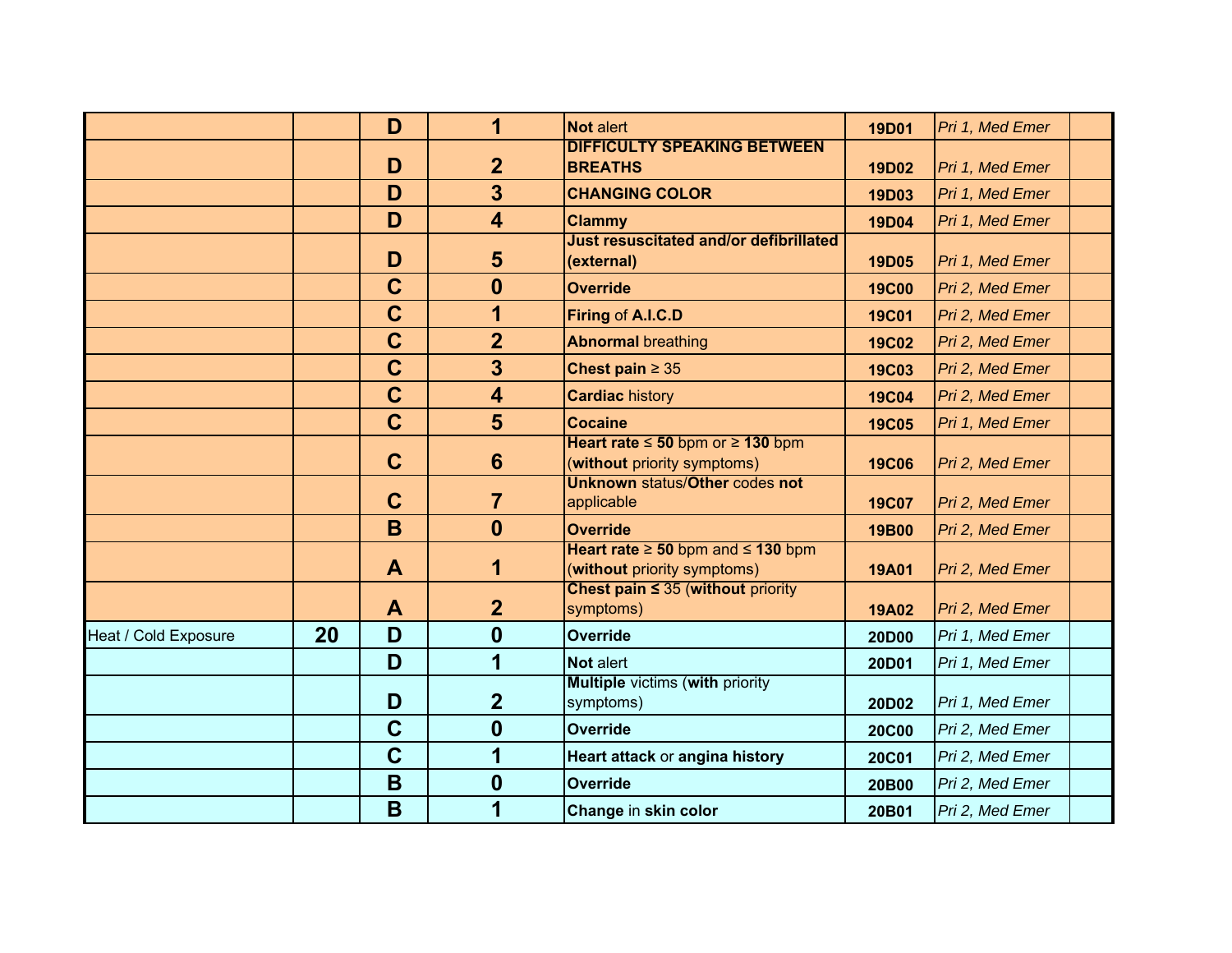|                      |    | D           | 1                       | <b>Not alert</b>                                                           | <b>19D01</b> | Pri 1, Med Emer |  |
|----------------------|----|-------------|-------------------------|----------------------------------------------------------------------------|--------------|-----------------|--|
|                      |    | D           | $\overline{2}$          | <b>DIFFICULTY SPEAKING BETWEEN</b><br><b>BREATHS</b>                       | 19D02        | Pri 1, Med Emer |  |
|                      |    | D           | $\overline{3}$          | <b>CHANGING COLOR</b>                                                      | 19D03        | Pri 1, Med Emer |  |
|                      |    | D           | $\overline{\mathbf{4}}$ | <b>Clammy</b>                                                              | <b>19D04</b> | Pri 1, Med Emer |  |
|                      |    | D           | 5                       | <b>Just resuscitated and/or defibrillated</b><br>(external)                | <b>19D05</b> | Pri 1, Med Emer |  |
|                      |    | $\mathbf C$ | $\bf{0}$                | <b>Override</b>                                                            | <b>19C00</b> | Pri 2, Med Emer |  |
|                      |    | $\mathbf C$ | 1                       | Firing of A.I.C.D                                                          | <b>19C01</b> | Pri 2, Med Emer |  |
|                      |    | $\mathbf C$ | $\overline{2}$          | <b>Abnormal breathing</b>                                                  | <b>19C02</b> | Pri 2, Med Emer |  |
|                      |    | $\mathbf C$ | $\overline{\mathbf{3}}$ | Chest pain $\geq 35$                                                       | <b>19C03</b> | Pri 2, Med Emer |  |
|                      |    | $\mathbf C$ | $\overline{\mathbf{4}}$ | <b>Cardiac history</b>                                                     | <b>19C04</b> | Pri 2, Med Emer |  |
|                      |    | $\mathbf C$ | 5                       | <b>Cocaine</b>                                                             | <b>19C05</b> | Pri 1, Med Emer |  |
|                      |    | $\mathbf C$ | $6\phantom{1}$          | Heart rate $\leq 50$ bpm or $\geq 130$ bpm<br>(without priority symptoms)  | <b>19C06</b> | Pri 2, Med Emer |  |
|                      |    | $\mathbf C$ | $\overline{7}$          | <b>Unknown status/Other codes not</b><br>applicable                        | <b>19C07</b> | Pri 2, Med Emer |  |
|                      |    | B           | $\boldsymbol{0}$        | <b>Override</b>                                                            | 19B00        | Pri 2, Med Emer |  |
|                      |    | A           | 1                       | Heart rate $\geq 50$ bpm and $\leq 130$ bpm<br>(without priority symptoms) | <b>19A01</b> | Pri 2, Med Emer |  |
|                      |    | A           | $\overline{2}$          | Chest pain $\leq$ 35 (without priority<br>symptoms)                        | <b>19A02</b> | Pri 2, Med Emer |  |
| Heat / Cold Exposure | 20 | D           | $\boldsymbol{0}$        | <b>Override</b>                                                            | 20D00        | Pri 1, Med Emer |  |
|                      |    | D           | 1                       | Not alert                                                                  | 20D01        | Pri 1, Med Emer |  |
|                      |    | D           | $\overline{2}$          | <b>Multiple victims (with priority</b><br>symptoms)                        | 20D02        | Pri 1, Med Emer |  |
|                      |    | $\mathbf C$ | $\boldsymbol{0}$        | <b>Override</b>                                                            | <b>20C00</b> | Pri 2, Med Emer |  |
|                      |    | $\mathbf C$ | 1                       | Heart attack or angina history                                             | <b>20C01</b> | Pri 2, Med Emer |  |
|                      |    | B           | $\bf{0}$                | <b>Override</b>                                                            | 20B00        | Pri 2, Med Emer |  |
|                      |    | B           | 1                       | Change in skin color                                                       | 20B01        | Pri 2, Med Emer |  |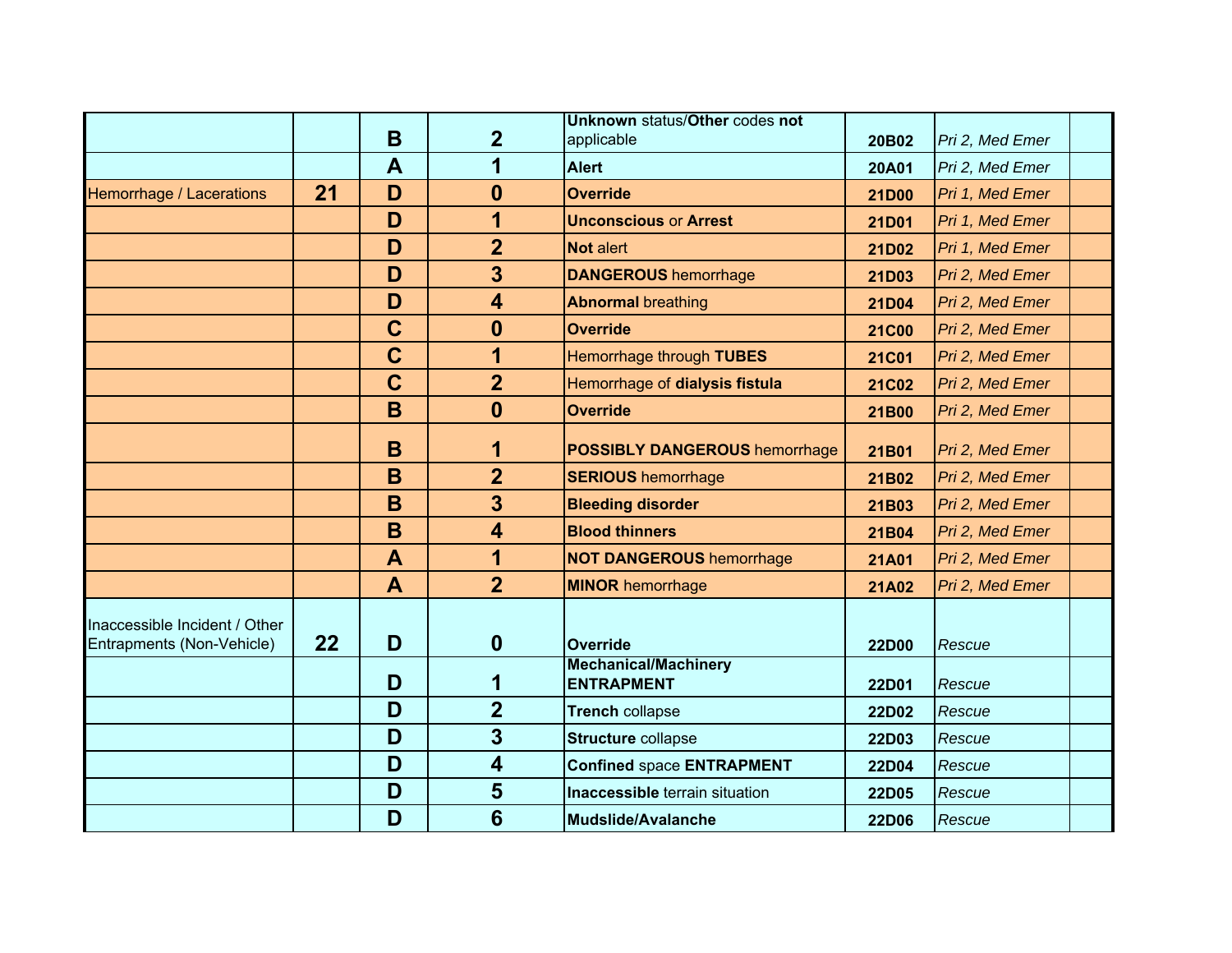|                                                            |    |             |                         | Unknown status/Other codes not                   |              |                 |  |
|------------------------------------------------------------|----|-------------|-------------------------|--------------------------------------------------|--------------|-----------------|--|
|                                                            |    | B           | $\overline{2}$          | applicable                                       | 20B02        | Pri 2, Med Emer |  |
|                                                            |    | A           | 1                       | <b>Alert</b>                                     | <b>20A01</b> | Pri 2, Med Emer |  |
| Hemorrhage / Lacerations                                   | 21 | D           | 0                       | <b>Override</b>                                  | 21D00        | Pri 1, Med Emer |  |
|                                                            |    | D           | 1                       | <b>Unconscious or Arrest</b>                     | 21D01        | Pri 1, Med Emer |  |
|                                                            |    | D           | $\overline{2}$          | Not alert                                        | 21D02        | Pri 1, Med Emer |  |
|                                                            |    | D           | 3                       | <b>DANGEROUS hemorrhage</b>                      | 21D03        | Pri 2, Med Emer |  |
|                                                            |    | D           | $\overline{\mathbf{4}}$ | <b>Abnormal breathing</b>                        | 21D04        | Pri 2, Med Emer |  |
|                                                            |    | $\mathbf C$ | $\mathbf{0}$            | <b>Override</b>                                  | <b>21C00</b> | Pri 2, Med Emer |  |
|                                                            |    | $\mathbf C$ | 1                       | Hemorrhage through TUBES                         | <b>21C01</b> | Pri 2, Med Emer |  |
|                                                            |    | $\mathbf C$ | $\overline{2}$          | Hemorrhage of dialysis fistula                   | <b>21C02</b> | Pri 2, Med Emer |  |
|                                                            |    | B           | $\boldsymbol{0}$        | <b>Override</b>                                  | 21B00        | Pri 2, Med Emer |  |
|                                                            |    | B           | 1                       | <b>POSSIBLY DANGEROUS hemorrhage</b>             | 21B01        | Pri 2, Med Emer |  |
|                                                            |    | B           | $\overline{2}$          | <b>SERIOUS</b> hemorrhage                        | 21B02        | Pri 2, Med Emer |  |
|                                                            |    | B           | 3                       | <b>Bleeding disorder</b>                         | 21B03        | Pri 2, Med Emer |  |
|                                                            |    | B           | $\overline{\mathbf{4}}$ | <b>Blood thinners</b>                            | 21B04        | Pri 2, Med Emer |  |
|                                                            |    | A           | 1                       | <b>NOT DANGEROUS hemorrhage</b>                  | <b>21A01</b> | Pri 2, Med Emer |  |
|                                                            |    | A           | $\overline{2}$          | <b>MINOR hemorrhage</b>                          | <b>21A02</b> | Pri 2, Med Emer |  |
| Inaccessible Incident / Other<br>Entrapments (Non-Vehicle) | 22 | D           | $\mathbf{0}$            | Override                                         | 22D00        | Rescue          |  |
|                                                            |    | D           | 1                       | <b>Mechanical/Machinery</b><br><b>ENTRAPMENT</b> | 22D01        | Rescue          |  |
|                                                            |    | D           | $\overline{2}$          | <b>Trench collapse</b>                           | 22D02        | Rescue          |  |
|                                                            |    | D           | 3                       | <b>Structure collapse</b>                        | 22D03        | Rescue          |  |
|                                                            |    | D           | $\overline{\mathbf{4}}$ | <b>Confined space ENTRAPMENT</b>                 | 22D04        | Rescue          |  |
|                                                            |    | D           | 5                       | <b>Inaccessible</b> terrain situation            | 22D05        | Rescue          |  |
|                                                            |    | D           | $6\phantom{1}$          | Mudslide/Avalanche                               | 22D06        | Rescue          |  |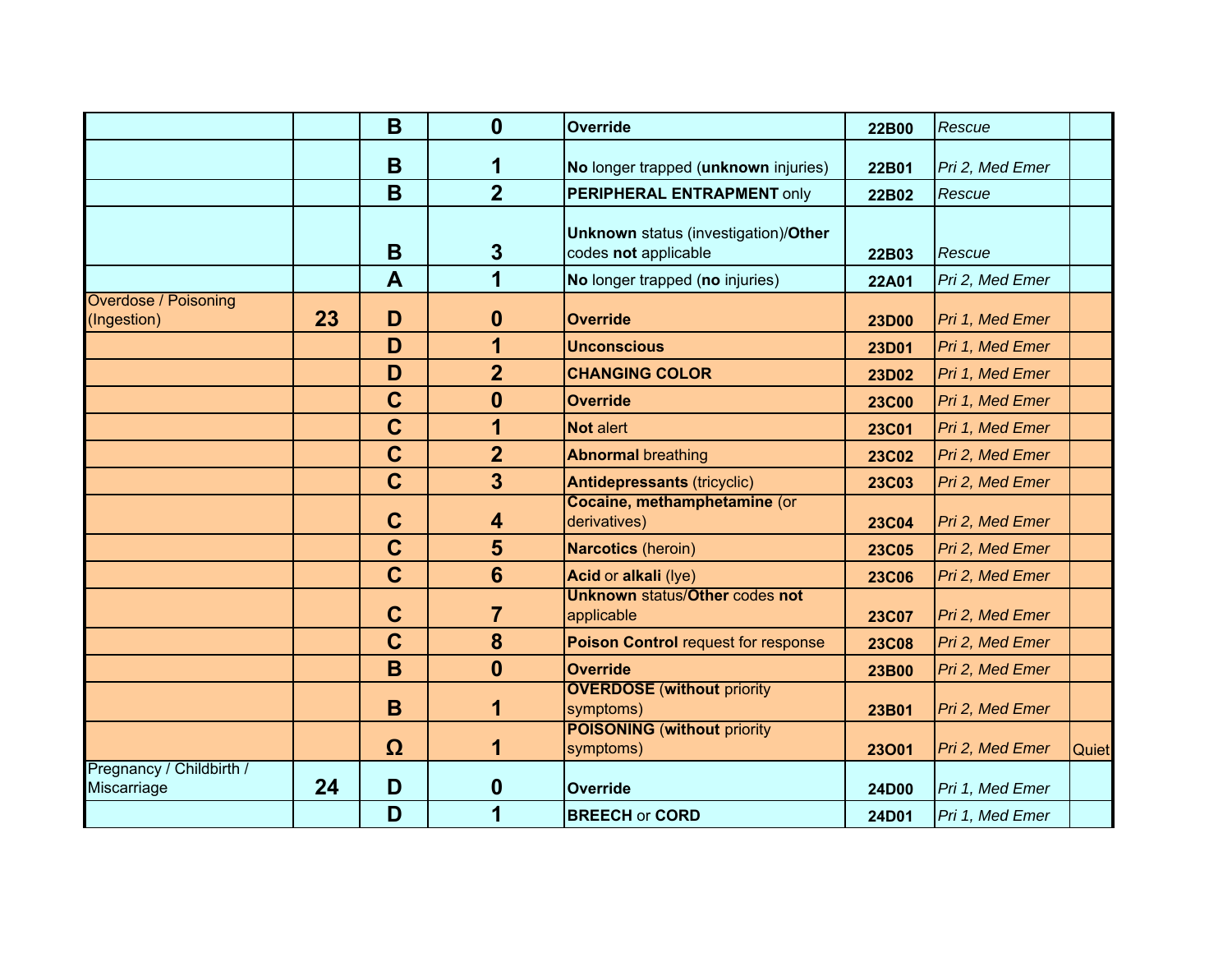|                                            |    | B           | $\mathbf{0}$     | <b>Override</b>                                                     | 22B00        | Rescue          |       |
|--------------------------------------------|----|-------------|------------------|---------------------------------------------------------------------|--------------|-----------------|-------|
|                                            |    | B           | 1                | No longer trapped (unknown injuries)                                | 22B01        | Pri 2, Med Emer |       |
|                                            |    | B           | $\overline{2}$   | PERIPHERAL ENTRAPMENT only                                          | 22B02        | Rescue          |       |
|                                            |    | B           | $\mathbf{3}$     | <b>Unknown</b> status (investigation)/Other<br>codes not applicable | 22B03        | Rescue          |       |
|                                            |    | A           | 1                | No longer trapped (no injuries)                                     | 22A01        | Pri 2, Med Emer |       |
| <b>Overdose / Poisoning</b><br>(Ingestion) | 23 | D           | $\boldsymbol{0}$ | <b>Override</b>                                                     | <b>23D00</b> | Pri 1, Med Emer |       |
|                                            |    | D           | 1                | <b>Unconscious</b>                                                  | 23D01        | Pri 1, Med Emer |       |
|                                            |    | D           | $\overline{2}$   | <b>CHANGING COLOR</b>                                               | 23D02        | Pri 1, Med Emer |       |
|                                            |    | $\mathbf C$ | $\boldsymbol{0}$ | <b>Override</b>                                                     | <b>23C00</b> | Pri 1, Med Emer |       |
|                                            |    | $\mathbf C$ | 1                | <b>Not alert</b>                                                    | <b>23C01</b> | Pri 1, Med Emer |       |
|                                            |    | $\mathbf C$ | $\overline{2}$   | <b>Abnormal breathing</b>                                           | <b>23C02</b> | Pri 2, Med Emer |       |
|                                            |    | $\mathbf C$ | $\overline{3}$   | <b>Antidepressants (tricyclic)</b>                                  | <b>23C03</b> | Pri 2, Med Emer |       |
|                                            |    | $\mathbf C$ | 4                | Cocaine, methamphetamine (or<br>derivatives)                        | <b>23C04</b> | Pri 2, Med Emer |       |
|                                            |    | $\mathbf C$ | 5                | <b>Narcotics</b> (heroin)                                           | <b>23C05</b> | Pri 2, Med Emer |       |
|                                            |    | $\mathbf C$ | $6\phantom{1}6$  | Acid or alkali (lye)                                                | <b>23C06</b> | Pri 2, Med Emer |       |
|                                            |    | $\mathbf C$ | $\overline{7}$   | <b>Unknown status/Other codes not</b><br>applicable                 | <b>23C07</b> | Pri 2, Med Emer |       |
|                                            |    | $\mathbf C$ | 8                | <b>Poison Control request for response</b>                          | <b>23C08</b> | Pri 2, Med Emer |       |
|                                            |    | B           | $\bf{0}$         | <b>Override</b>                                                     | 23B00        | Pri 2, Med Emer |       |
|                                            |    | B           | 1                | <b>OVERDOSE</b> (without priority<br>symptoms)                      | 23B01        | Pri 2, Med Emer |       |
|                                            |    | Ω           | 1                | <b>POISONING (without priority)</b><br>symptoms)                    | 23001        | Pri 2, Med Emer | Quiet |
| Pregnancy / Childbirth /<br>Miscarriage    | 24 | D           | $\boldsymbol{0}$ | <b>Override</b>                                                     | 24D00        | Pri 1, Med Emer |       |
|                                            |    | D           | 1                | <b>BREECH or CORD</b>                                               | 24D01        | Pri 1, Med Emer |       |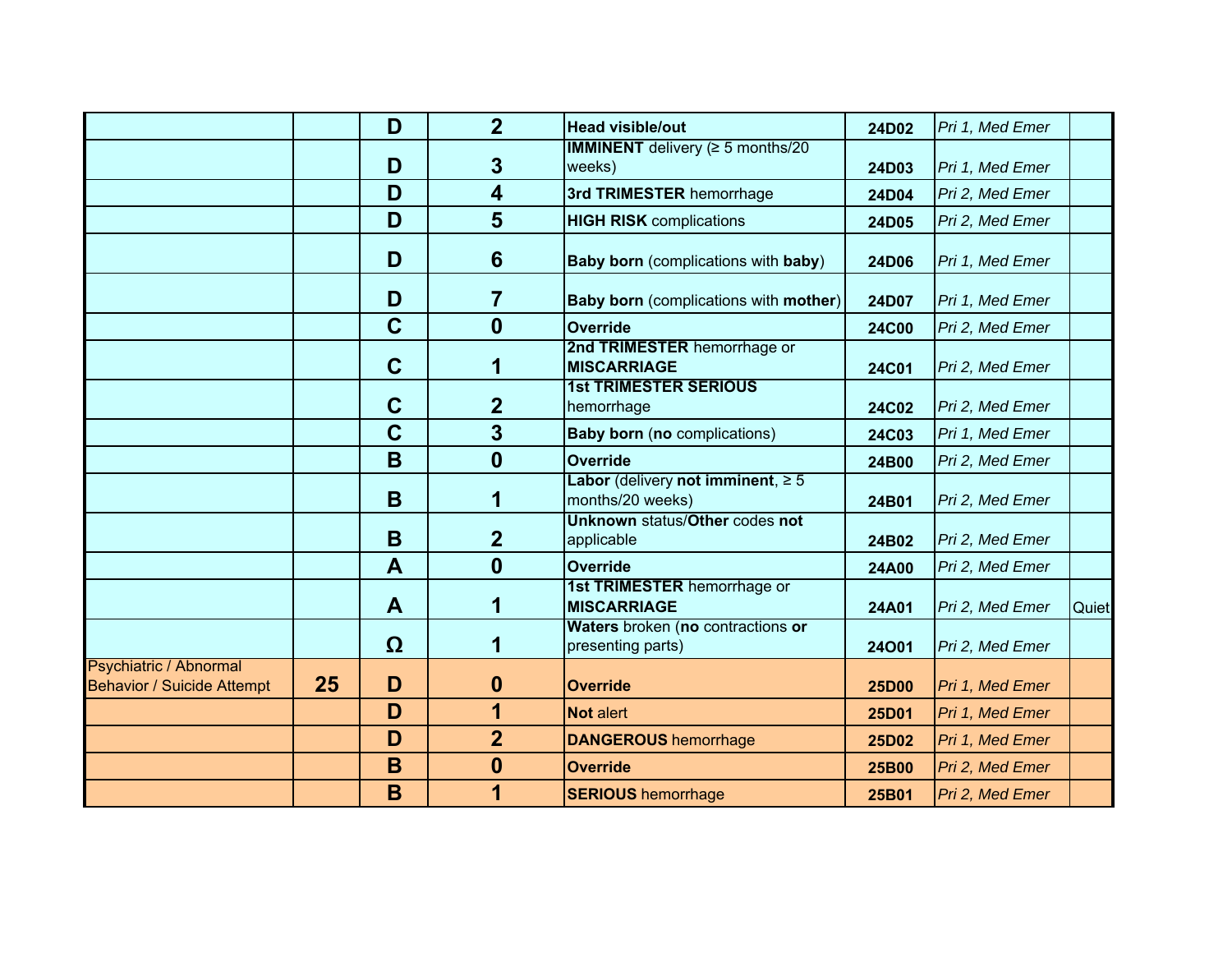|                                                             |    | D                | $\overline{2}$          | <b>Head visible/out</b>                                    | 24D02        | Pri 1, Med Emer |       |
|-------------------------------------------------------------|----|------------------|-------------------------|------------------------------------------------------------|--------------|-----------------|-------|
|                                                             |    | D                | $\mathbf{3}$            | <b>IMMINENT</b> delivery ( $\geq$ 5 months/20<br>weeks)    | 24D03        | Pri 1, Med Emer |       |
|                                                             |    | D                | $\overline{\mathbf{4}}$ | 3rd TRIMESTER hemorrhage                                   | 24D04        | Pri 2, Med Emer |       |
|                                                             |    | D                | 5                       | <b>HIGH RISK</b> complications                             | 24D05        | Pri 2, Med Emer |       |
|                                                             |    | D                | 6                       | <b>Baby born</b> (complications with baby)                 | 24D06        | Pri 1, Med Emer |       |
|                                                             |    | D                | 7                       | <b>Baby born</b> (complications with mother)               | 24D07        | Pri 1, Med Emer |       |
|                                                             |    | $\mathbf C$      | $\mathbf{0}$            | Override                                                   | <b>24C00</b> | Pri 2, Med Emer |       |
|                                                             |    | $\mathbf C$      | 1                       | 2nd TRIMESTER hemorrhage or<br><b>MISCARRIAGE</b>          | <b>24C01</b> | Pri 2, Med Emer |       |
|                                                             |    | $\mathbf C$      | $\overline{2}$          | <b>1st TRIMESTER SERIOUS</b><br>hemorrhage                 | 24C02        | Pri 2, Med Emer |       |
|                                                             |    | $\mathbf C$      | 3                       | <b>Baby born (no complications)</b>                        | <b>24C03</b> | Pri 1, Med Emer |       |
|                                                             |    | B                | $\mathbf{0}$            | Override                                                   | 24B00        | Pri 2, Med Emer |       |
|                                                             |    | B                | 1                       | Labor (delivery not imminent, $\geq 5$<br>months/20 weeks) | 24B01        | Pri 2, Med Emer |       |
|                                                             |    | B                | $\overline{2}$          | <b>Unknown status/Other codes not</b><br>applicable        | 24B02        | Pri 2, Med Emer |       |
|                                                             |    | $\boldsymbol{A}$ | $\boldsymbol{0}$        | <b>Override</b>                                            | <b>24A00</b> | Pri 2, Med Emer |       |
|                                                             |    | A                | 1                       | 1st TRIMESTER hemorrhage or<br><b>MISCARRIAGE</b>          | 24A01        | Pri 2, Med Emer | Quiet |
|                                                             |    | Ω                | 1                       | Waters broken (no contractions or<br>presenting parts)     | 24001        | Pri 2, Med Emer |       |
| Psychiatric / Abnormal<br><b>Behavior / Suicide Attempt</b> | 25 | D                | $\boldsymbol{0}$        | <b>Override</b>                                            | 25D00        | Pri 1, Med Emer |       |
|                                                             |    | D                | 1                       | Not alert                                                  | 25D01        | Pri 1, Med Emer |       |
|                                                             |    | D                | $\overline{2}$          | <b>DANGEROUS hemorrhage</b>                                | 25D02        | Pri 1, Med Emer |       |
|                                                             |    | B                | $\boldsymbol{0}$        | <b>Override</b>                                            | 25B00        | Pri 2, Med Emer |       |
|                                                             |    | B                | 1                       | <b>SERIOUS</b> hemorrhage                                  | 25B01        | Pri 2, Med Emer |       |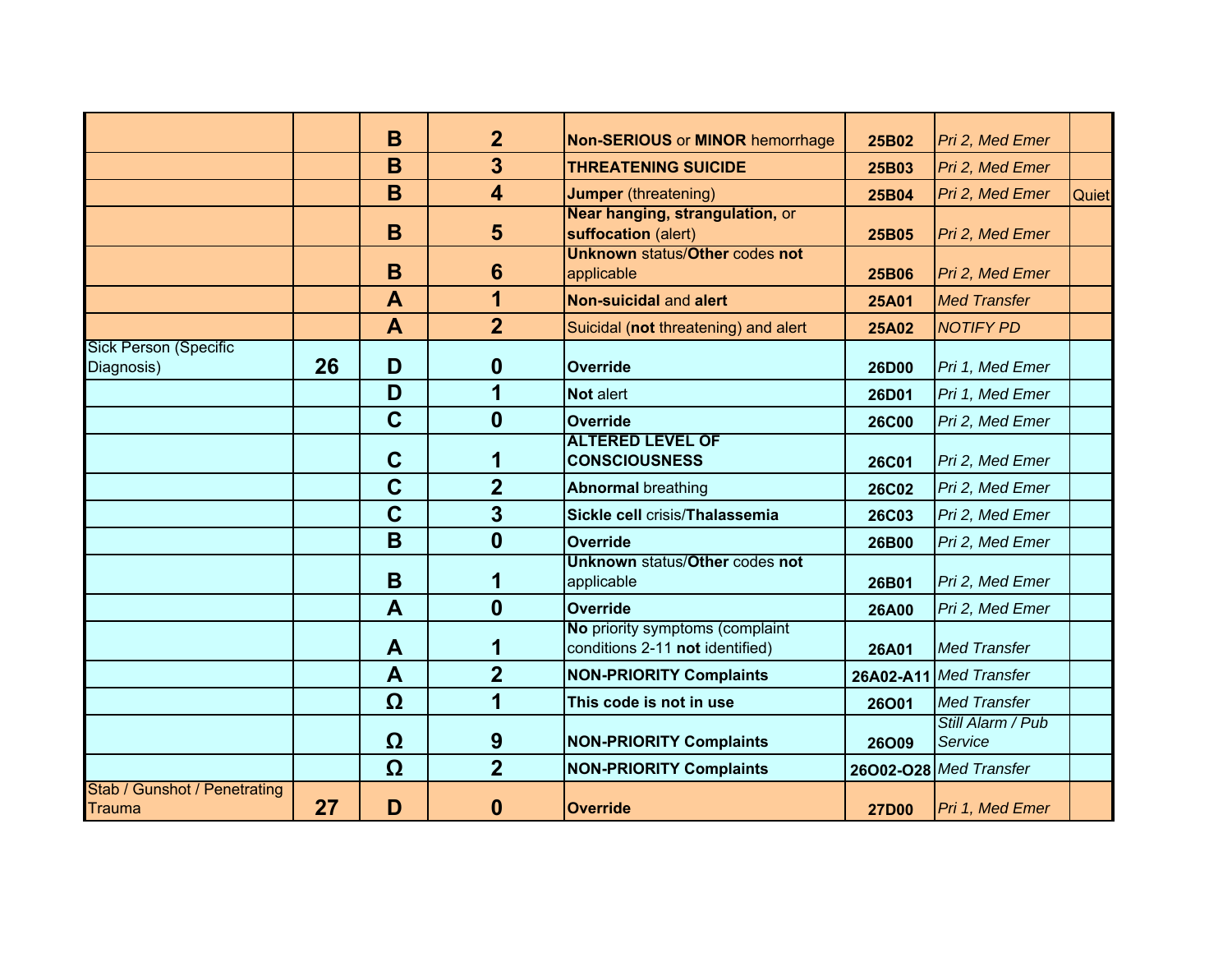|                                            |    | B                | $\overline{2}$          | <b>Non-SERIOUS or MINOR hemorrhage</b>                             | 25B02        | Pri 2, Med Emer              |       |
|--------------------------------------------|----|------------------|-------------------------|--------------------------------------------------------------------|--------------|------------------------------|-------|
|                                            |    | B                | $\overline{\mathbf{3}}$ | <b>THREATENING SUICIDE</b>                                         | 25B03        | Pri 2, Med Emer              |       |
|                                            |    | B                | $\overline{\mathbf{4}}$ | <b>Jumper</b> (threatening)                                        | 25B04        | Pri 2, Med Emer              | Quiet |
|                                            |    | B                | 5                       | Near hanging, strangulation, or<br>suffocation (alert)             | 25B05        | Pri 2, Med Emer              |       |
|                                            |    | B                | 6                       | <b>Unknown status/Other codes not</b><br>applicable                | 25B06        | Pri 2, Med Emer              |       |
|                                            |    | $\blacktriangle$ | 1                       | Non-suicidal and alert                                             | <b>25A01</b> | <b>Med Transfer</b>          |       |
|                                            |    | A                | $\overline{2}$          | Suicidal (not threatening) and alert                               | <b>25A02</b> | <b>NOTIFY PD</b>             |       |
| <b>Sick Person (Specific</b><br>Diagnosis) | 26 | D                | $\boldsymbol{0}$        | <b>Override</b>                                                    | 26D00        | Pri 1, Med Emer              |       |
|                                            |    | D                | 1                       | Not alert                                                          | 26D01        | Pri 1, Med Emer              |       |
|                                            |    | $\mathbf C$      | $\mathbf{0}$            | <b>Override</b>                                                    | <b>26C00</b> | Pri 2, Med Emer              |       |
|                                            |    | $\mathbf C$      | 1                       | <b>ALTERED LEVEL OF</b><br><b>CONSCIOUSNESS</b>                    | <b>26C01</b> | Pri 2, Med Emer              |       |
|                                            |    | $\mathbf C$      | $\overline{2}$          | <b>Abnormal breathing</b>                                          | <b>26C02</b> | Pri 2, Med Emer              |       |
|                                            |    | $\overline{C}$   | 3                       | Sickle cell crisis/Thalassemia                                     | <b>26C03</b> | Pri 2, Med Emer              |       |
|                                            |    | B                | $\bf{0}$                | <b>Override</b>                                                    | 26B00        | Pri 2, Med Emer              |       |
|                                            |    | B                | 1                       | <b>Unknown status/Other codes not</b><br>applicable                | 26B01        | Pri 2, Med Emer              |       |
|                                            |    | $\mathbf{A}$     | $\bf{0}$                | <b>Override</b>                                                    | <b>26A00</b> | Pri 2, Med Emer              |       |
|                                            |    | A                | 1                       | No priority symptoms (complaint<br>conditions 2-11 not identified) | 26A01        | <b>Med Transfer</b>          |       |
|                                            |    | $\blacktriangle$ | $\overline{2}$          | <b>NON-PRIORITY Complaints</b>                                     |              | 26A02-A11 Med Transfer       |       |
|                                            |    | Ω                | 1                       | This code is not in use                                            | 26O01        | <b>Med Transfer</b>          |       |
|                                            |    | Ω                | 9                       | <b>NON-PRIORITY Complaints</b>                                     | 26009        | Still Alarm / Pub<br>Service |       |
|                                            |    | Ω                | $\overline{2}$          | <b>NON-PRIORITY Complaints</b>                                     |              | 26002-028 Med Transfer       |       |
| Stab / Gunshot / Penetrating<br>Trauma     | 27 | D                | 0                       | <b>Override</b>                                                    | <b>27D00</b> | Pri 1, Med Emer              |       |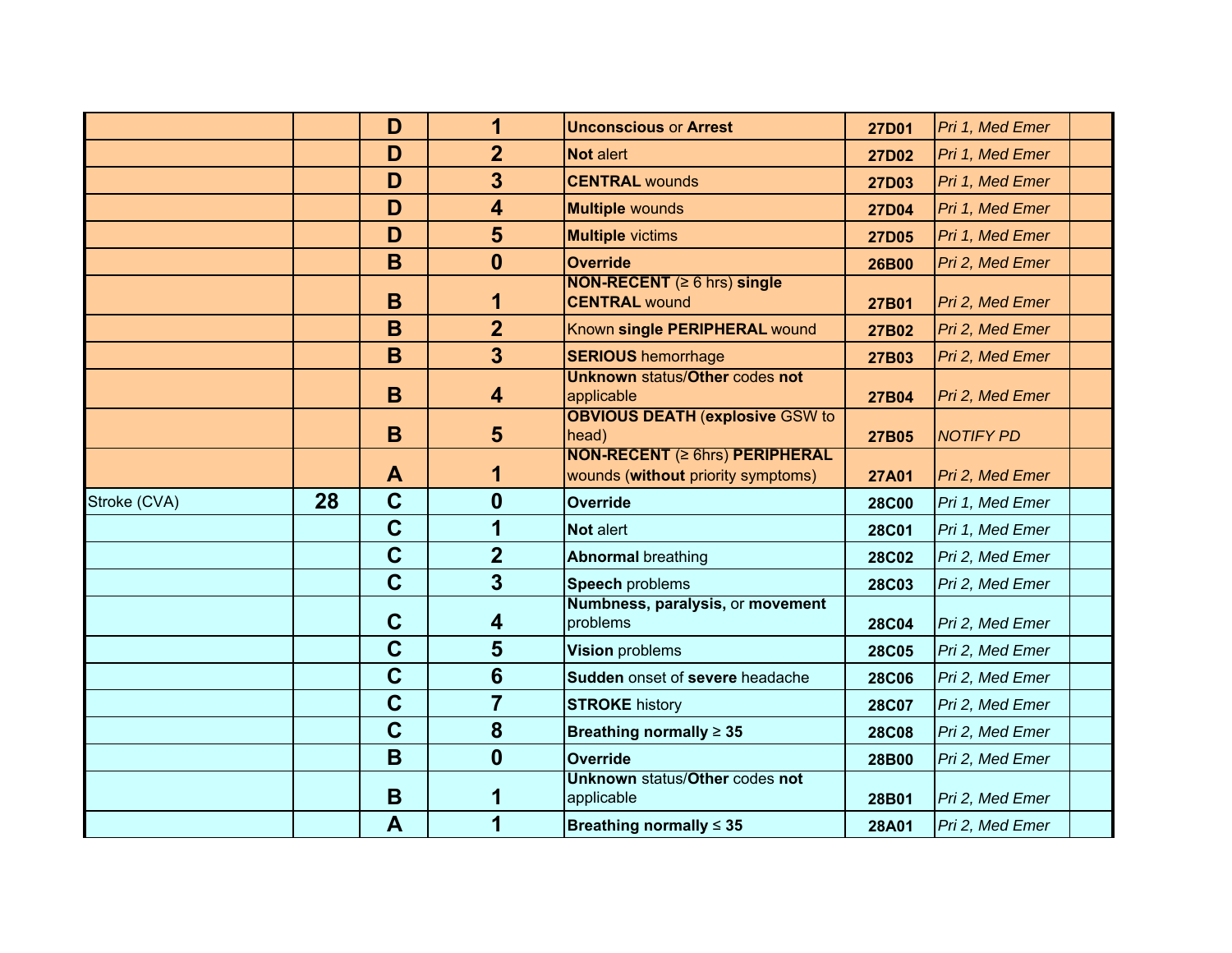|              |    | D              | 1                       | <b>Unconscious or Arrest</b>                                                | <b>27D01</b> | Pri 1, Med Emer  |  |
|--------------|----|----------------|-------------------------|-----------------------------------------------------------------------------|--------------|------------------|--|
|              |    | D              | $\overline{2}$          | Not alert                                                                   | 27D02        | Pri 1, Med Emer  |  |
|              |    | D              | 3                       | <b>CENTRAL wounds</b>                                                       | 27D03        | Pri 1, Med Emer  |  |
|              |    | D              | $\overline{\mathbf{4}}$ | <b>Multiple wounds</b>                                                      | <b>27D04</b> | Pri 1, Med Emer  |  |
|              |    | D              | 5                       | <b>Multiple</b> victims                                                     | <b>27D05</b> | Pri 1, Med Emer  |  |
|              |    | B              | $\mathbf{0}$            | <b>Override</b>                                                             | 26B00        | Pri 2, Med Emer  |  |
|              |    | B              | 1                       | <b>NON-RECENT</b> ( $\geq 6$ hrs) single<br><b>CENTRAL wound</b>            | 27B01        | Pri 2, Med Emer  |  |
|              |    | B              | $\overline{2}$          | Known single PERIPHERAL wound                                               | 27B02        | Pri 2, Med Emer  |  |
|              |    | B              | 3                       | <b>SERIOUS</b> hemorrhage                                                   | 27B03        | Pri 2, Med Emer  |  |
|              |    | B              | 4                       | <b>Unknown status/Other codes not</b><br>applicable                         | 27B04        | Pri 2, Med Emer  |  |
|              |    | B              | 5                       | <b>OBVIOUS DEATH (explosive GSW to</b><br>head)                             | 27B05        | <b>NOTIFY PD</b> |  |
|              |    | A              | 1                       | <b>NON-RECENT (≥ 6hrs) PERIPHERAL</b><br>wounds (without priority symptoms) | <b>27A01</b> | Pri 2, Med Emer  |  |
| Stroke (CVA) | 28 | $\mathbf C$    | $\boldsymbol{0}$        | <b>Override</b>                                                             | <b>28C00</b> | Pri 1, Med Emer  |  |
|              |    | $\mathbf C$    | 1                       | Not alert                                                                   | <b>28C01</b> | Pri 1, Med Emer  |  |
|              |    | $\mathbf C$    | $\overline{2}$          | <b>Abnormal breathing</b>                                                   | <b>28C02</b> | Pri 2, Med Emer  |  |
|              |    | $\overline{C}$ | $\overline{3}$          | <b>Speech problems</b>                                                      | <b>28C03</b> | Pri 2, Med Emer  |  |
|              |    | $\mathbf C$    | 4                       | Numbness, paralysis, or movement<br>problems                                | <b>28C04</b> | Pri 2, Med Emer  |  |
|              |    | $\mathbf C$    | 5                       | Vision problems                                                             | <b>28C05</b> | Pri 2, Med Emer  |  |
|              |    |                |                         |                                                                             | <b>28C06</b> | Pri 2, Med Emer  |  |
|              |    | $\mathbf C$    | $6\phantom{1}6$         | Sudden onset of severe headache                                             |              |                  |  |
|              |    | $\mathbf C$    | $\overline{7}$          | <b>STROKE history</b>                                                       | <b>28C07</b> | Pri 2, Med Emer  |  |
|              |    | $\mathbf C$    | 8                       | Breathing normally $\geq 35$                                                | <b>28C08</b> | Pri 2, Med Emer  |  |
|              |    | B              | $\boldsymbol{0}$        | <b>Override</b>                                                             | 28B00        | Pri 2, Med Emer  |  |
|              |    | B              | 1                       | <b>Unknown status/Other codes not</b><br>applicable                         | 28B01        | Pri 2, Med Emer  |  |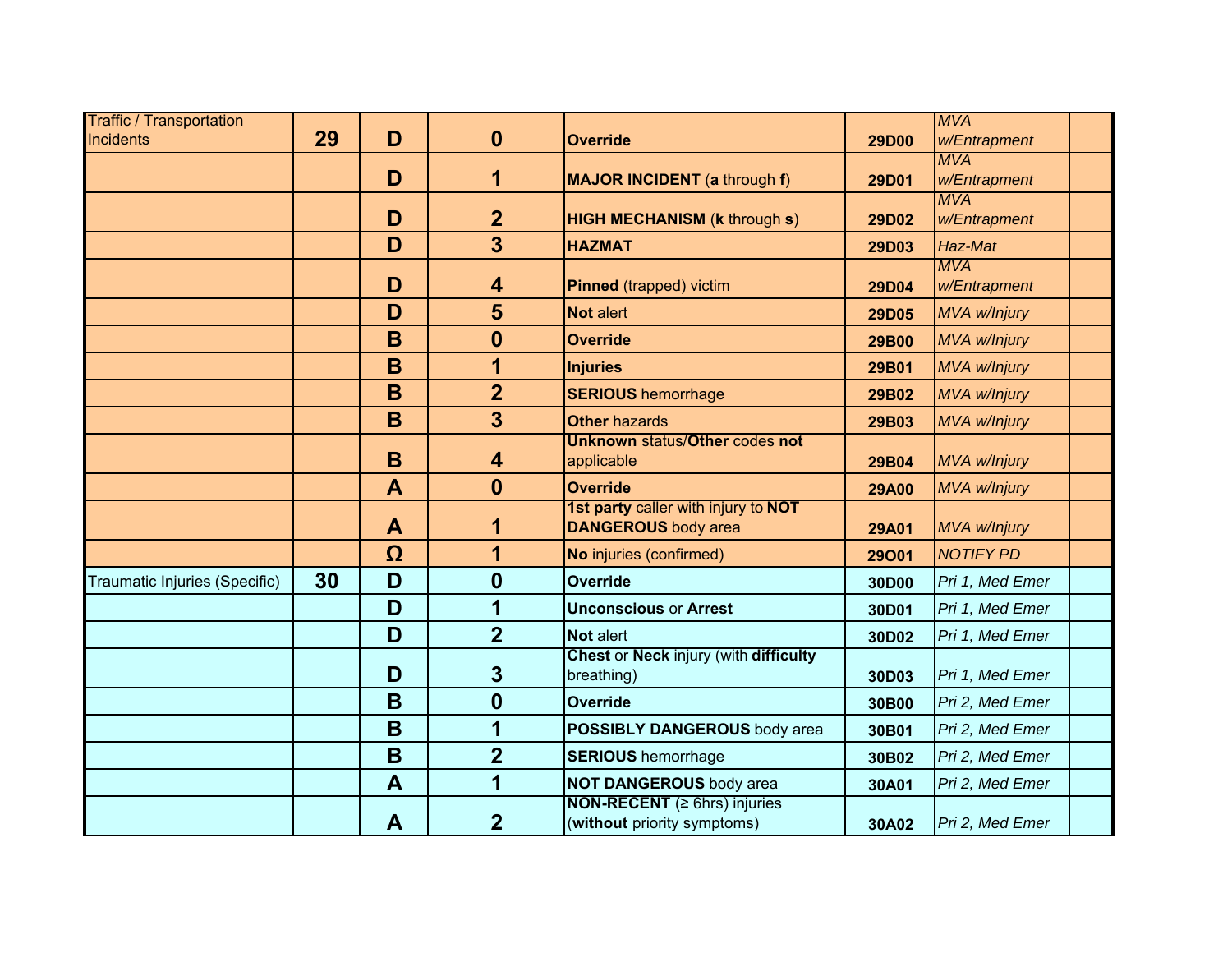| <b>Traffic / Transportation</b> |    |                         |                         |                                                                          |              | <b>MVA</b>                 |  |
|---------------------------------|----|-------------------------|-------------------------|--------------------------------------------------------------------------|--------------|----------------------------|--|
| Incidents                       | 29 | D                       | $\boldsymbol{0}$        | <b>Override</b>                                                          | <b>29D00</b> | w/Entrapment               |  |
|                                 |    |                         |                         |                                                                          |              | <b>MVA</b>                 |  |
|                                 |    | D                       | 1                       | <b>MAJOR INCIDENT</b> (a through f)                                      | 29D01        | w/Entrapment<br><b>MVA</b> |  |
|                                 |    | D                       | $\overline{2}$          | <b>HIGH MECHANISM (k through s)</b>                                      | 29D02        | w/Entrapment               |  |
|                                 |    | D                       | $\overline{\mathbf{3}}$ | <b>HAZMAT</b>                                                            | 29D03        | Haz-Mat                    |  |
|                                 |    | D                       | 4                       | <b>Pinned</b> (trapped) victim                                           | 29D04        | <b>MVA</b><br>w/Entrapment |  |
|                                 |    | D                       | 5                       | Not alert                                                                | 29D05        | MVA w/Injury               |  |
|                                 |    | B                       | $\boldsymbol{0}$        | <b>Override</b>                                                          | 29B00        | MVA w/Injury               |  |
|                                 |    | B                       | 1                       | <b>Injuries</b>                                                          | 29B01        | MVA w/Injury               |  |
|                                 |    | B                       | $\overline{2}$          | <b>SERIOUS</b> hemorrhage                                                | 29B02        | <b>MVA w/Injury</b>        |  |
|                                 |    | B                       | $\overline{\mathbf{3}}$ | <b>Other hazards</b>                                                     | 29B03        | MVA w/Injury               |  |
|                                 |    | B                       | 4                       | <b>Unknown status/Other codes not</b><br>applicable                      | 29B04        | MVA w/Injury               |  |
|                                 |    | $\overline{\mathsf{A}}$ | $\boldsymbol{0}$        | <b>Override</b>                                                          | <b>29A00</b> | MVA w/Injury               |  |
|                                 |    | $\mathbf{A}$            | 1                       | 1st party caller with injury to NOT<br><b>DANGEROUS</b> body area        | <b>29A01</b> | MVA w/Injury               |  |
|                                 |    | Ω                       | 1                       | No injuries (confirmed)                                                  | 29001        | <b>NOTIFY PD</b>           |  |
| Traumatic Injuries (Specific)   | 30 | D                       | $\boldsymbol{0}$        | <b>Override</b>                                                          | 30D00        | Pri 1, Med Emer            |  |
|                                 |    | D                       | 1                       | <b>Unconscious or Arrest</b>                                             | 30D01        | Pri 1, Med Emer            |  |
|                                 |    | D                       | $\overline{2}$          | Not alert                                                                | 30D02        | Pri 1, Med Emer            |  |
|                                 |    | D                       | $\mathbf{3}$            | Chest or Neck injury (with difficulty<br>breathing)                      | 30D03        | Pri 1, Med Emer            |  |
|                                 |    | B                       | $\boldsymbol{0}$        | Override                                                                 | 30B00        | Pri 2, Med Emer            |  |
|                                 |    | B                       | 1                       | POSSIBLY DANGEROUS body area                                             | 30B01        | Pri 2, Med Emer            |  |
|                                 |    | B                       | $\overline{2}$          | <b>SERIOUS</b> hemorrhage                                                | 30B02        | Pri 2, Med Emer            |  |
|                                 |    | $\mathbf{A}$            | 1                       | <b>NOT DANGEROUS</b> body area                                           | 30A01        | Pri 2, Med Emer            |  |
|                                 |    | A                       | $\overline{2}$          | <b>NON-RECENT</b> ( $\geq$ 6hrs) injuries<br>(without priority symptoms) | 30A02        | Pri 2, Med Emer            |  |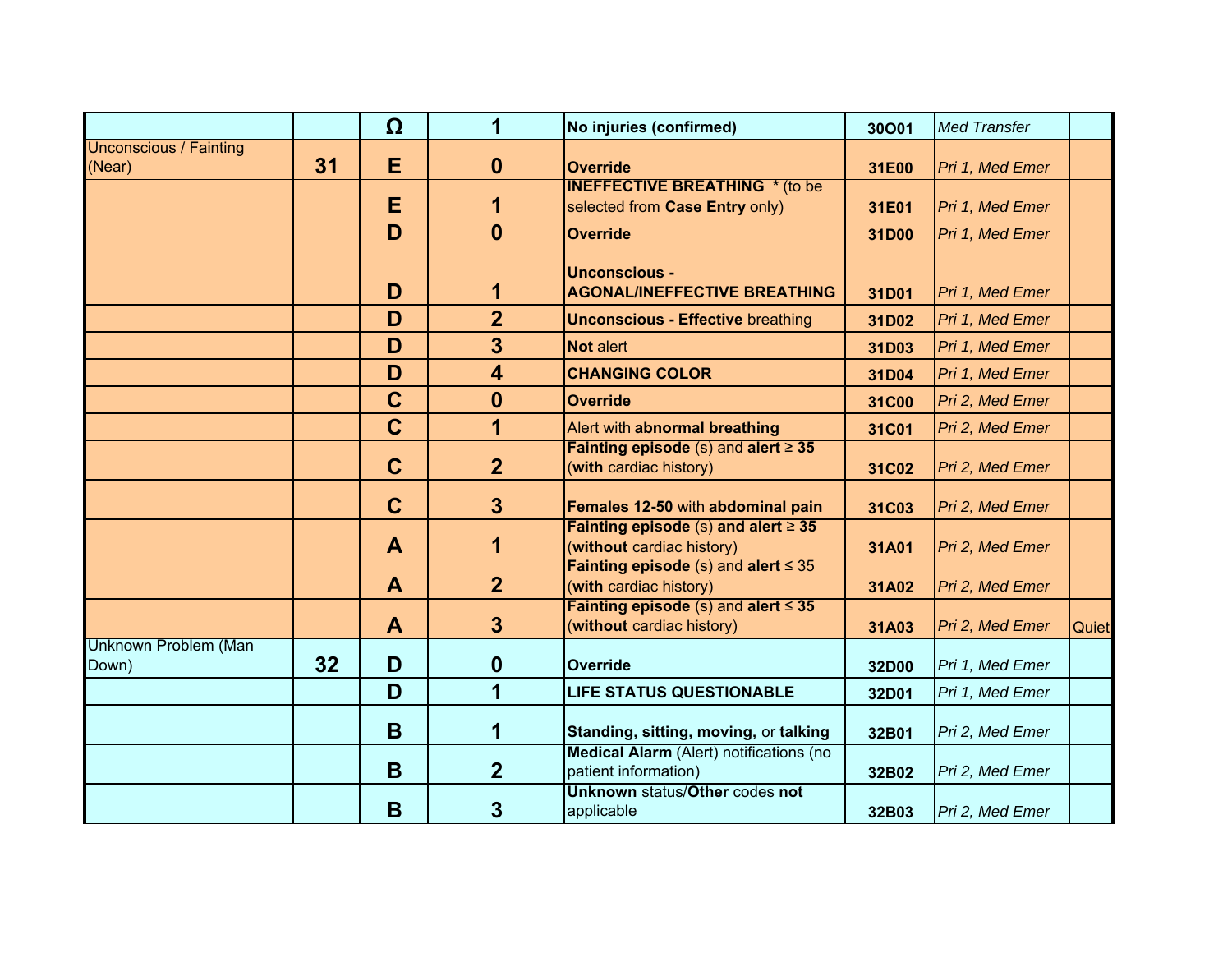|                                         |    | Ω           | 1                       | No injuries (confirmed)                                                 | 30001 | <b>Med Transfer</b> |              |
|-----------------------------------------|----|-------------|-------------------------|-------------------------------------------------------------------------|-------|---------------------|--------------|
| <b>Unconscious / Fainting</b><br>(Near) | 31 | E           | $\boldsymbol{0}$        | <b>Override</b>                                                         | 31E00 | Pri 1, Med Emer     |              |
|                                         |    | Е           | 1                       | <b>INEFFECTIVE BREATHING * (to be</b><br>selected from Case Entry only) | 31E01 | Pri 1, Med Emer     |              |
|                                         |    | D           | $\mathbf{0}$            | <b>Override</b>                                                         | 31D00 | Pri 1, Med Emer     |              |
|                                         |    | D           | 1                       | <b>Unconscious -</b><br><b>AGONAL/INEFFECTIVE BREATHING</b>             | 31D01 | Pri 1, Med Emer     |              |
|                                         |    | D           | $\overline{2}$          | <b>Unconscious - Effective breathing</b>                                | 31D02 | Pri 1, Med Emer     |              |
|                                         |    | D           | $\overline{3}$          | <b>Not alert</b>                                                        | 31D03 | Pri 1, Med Emer     |              |
|                                         |    | D           | $\overline{\mathbf{4}}$ | <b>CHANGING COLOR</b>                                                   | 31D04 | Pri 1, Med Emer     |              |
|                                         |    | $\mathbf C$ | $\boldsymbol{0}$        | <b>Override</b>                                                         | 31C00 | Pri 2, Med Emer     |              |
|                                         |    | $\mathbf C$ | $\overline{\mathbf{1}}$ | Alert with abnormal breathing                                           | 31C01 | Pri 2, Med Emer     |              |
|                                         |    | $\mathbf C$ | 2 <sup>2</sup>          | Fainting episode $(s)$ and alert $\geq 35$<br>(with cardiac history)    | 31C02 | Pri 2, Med Emer     |              |
|                                         |    | $\mathbf C$ | 3 <sup>5</sup>          | Females 12-50 with abdominal pain                                       | 31C03 | Pri 2, Med Emer     |              |
|                                         |    | A           | 1                       | Fainting episode (s) and alert $\geq$ 35<br>(without cardiac history)   | 31A01 | Pri 2, Med Emer     |              |
|                                         |    | A           | $\overline{2}$          | Fainting episode (s) and alert $\leq$ 35<br>(with cardiac history)      | 31A02 | Pri 2, Med Emer     |              |
|                                         |    | A           | $\mathbf{3}$            | Fainting episode (s) and alert $\leq$ 35<br>(without cardiac history)   | 31A03 | Pri 2, Med Emer     | <b>Quiet</b> |
| Unknown Problem (Man<br>Down)           | 32 | D           | $\boldsymbol{0}$        | <b>Override</b>                                                         | 32D00 | Pri 1, Med Emer     |              |
|                                         |    | D           | $\overline{\mathbf{1}}$ | <b>LIFE STATUS QUESTIONABLE</b>                                         | 32D01 | Pri 1, Med Emer     |              |
|                                         |    | B           | 1                       | Standing, sitting, moving, or talking                                   | 32B01 | Pri 2, Med Emer     |              |
|                                         |    | B           | $\overline{2}$          | Medical Alarm (Alert) notifications (no<br>patient information)         | 32B02 | Pri 2, Med Emer     |              |
|                                         |    | B           | 3                       | <b>Unknown status/Other codes not</b><br>applicable                     | 32B03 | Pri 2, Med Emer     |              |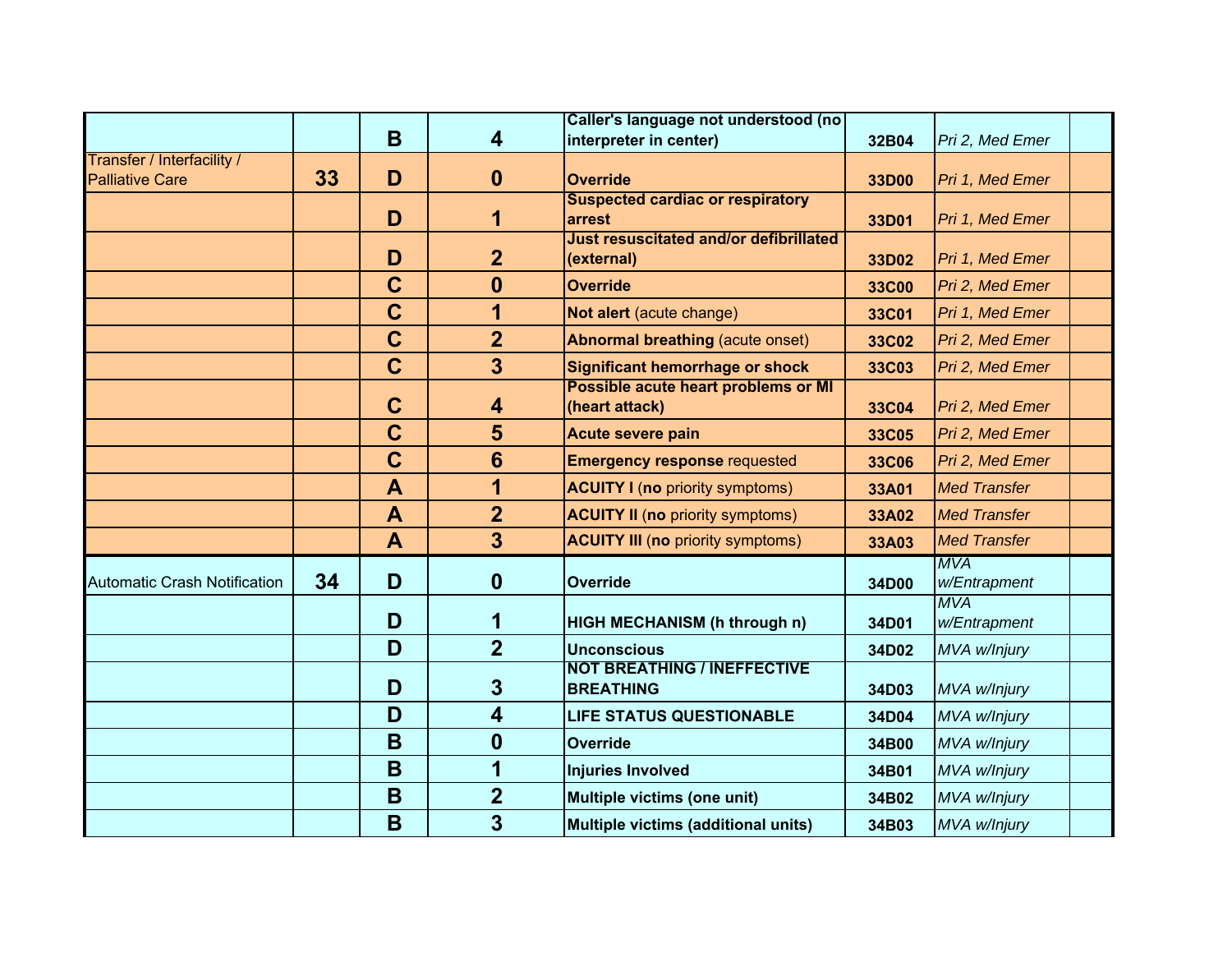|                                                      |    |              |                         | Caller's language not understood (no                        |              |                            |  |
|------------------------------------------------------|----|--------------|-------------------------|-------------------------------------------------------------|--------------|----------------------------|--|
|                                                      |    | B            | 4                       | interpreter in center)                                      | 32B04        | Pri 2, Med Emer            |  |
| Transfer / Interfacility /<br><b>Palliative Care</b> | 33 | D            | $\mathbf 0$             | <b>Override</b>                                             | 33D00        | Pri 1, Med Emer            |  |
|                                                      |    | D            | 1                       | <b>Suspected cardiac or respiratory</b><br>arrest           | 33D01        | Pri 1, Med Emer            |  |
|                                                      |    | D            | $\overline{2}$          | <b>Just resuscitated and/or defibrillated</b><br>(external) | 33D02        | Pri 1, Med Emer            |  |
|                                                      |    | $\mathbf C$  | $\mathbf 0$             | <b>Override</b>                                             | <b>33C00</b> | Pri 2, Med Emer            |  |
|                                                      |    | $\mathbf C$  | 1                       | Not alert (acute change)                                    | 33C01        | Pri 1, Med Emer            |  |
|                                                      |    | $\mathbf C$  | $\overline{2}$          | <b>Abnormal breathing (acute onset)</b>                     | 33C02        | Pri 2, Med Emer            |  |
|                                                      |    | $\mathbf C$  | $\overline{3}$          | <b>Significant hemorrhage or shock</b>                      | 33C03        | Pri 2, Med Emer            |  |
|                                                      |    | $\mathbf C$  | 4                       | Possible acute heart problems or MI<br>(heart attack)       | 33C04        | Pri 2, Med Emer            |  |
|                                                      |    | $\mathbf C$  | 5                       | <b>Acute severe pain</b>                                    | 33C05        | Pri 2, Med Emer            |  |
|                                                      |    | $\mathbf C$  | $6\phantom{1}$          | <b>Emergency response requested</b>                         | 33C06        | Pri 2, Med Emer            |  |
|                                                      |    | $\mathbf{A}$ | 1                       | <b>ACUITY I (no priority symptoms)</b>                      | 33A01        | <b>Med Transfer</b>        |  |
|                                                      |    | A            | $\overline{2}$          | <b>ACUITY II (no priority symptoms)</b>                     | 33A02        | <b>Med Transfer</b>        |  |
|                                                      |    | $\mathbf{A}$ | $\overline{3}$          | <b>ACUITY III (no priority symptoms)</b>                    | 33A03        | <b>Med Transfer</b>        |  |
| <b>Automatic Crash Notification</b>                  | 34 | D            | $\mathbf{0}$            | <b>Override</b>                                             | 34D00        | <b>MVA</b><br>w/Entrapment |  |
|                                                      |    | D            | 1                       | <b>HIGH MECHANISM (h through n)</b>                         | 34D01        | <b>MVA</b><br>w/Entrapment |  |
|                                                      |    | D            | $\overline{2}$          | <b>Unconscious</b>                                          | 34D02        | MVA w/lnjury               |  |
|                                                      |    | D            | $\overline{3}$          | <b>NOT BREATHING / INEFFECTIVE</b><br><b>BREATHING</b>      | 34D03        | MVA w/Injury               |  |
|                                                      |    | D            | $\overline{\mathbf{4}}$ | <b>LIFE STATUS QUESTIONABLE</b>                             | 34D04        | MVA w/Injury               |  |
|                                                      |    | B            | $\boldsymbol{0}$        | <b>Override</b>                                             | 34B00        | MVA w/Injury               |  |
|                                                      |    | B            | 1                       | <b>Injuries Involved</b>                                    | 34B01        | MVA w/lnjury               |  |
|                                                      |    | B            | $\overline{2}$          | Multiple victims (one unit)                                 | 34B02        | MVA w/lnjury               |  |
|                                                      |    | B            | $\overline{3}$          | Multiple victims (additional units)                         | 34B03        | MVA w/Injury               |  |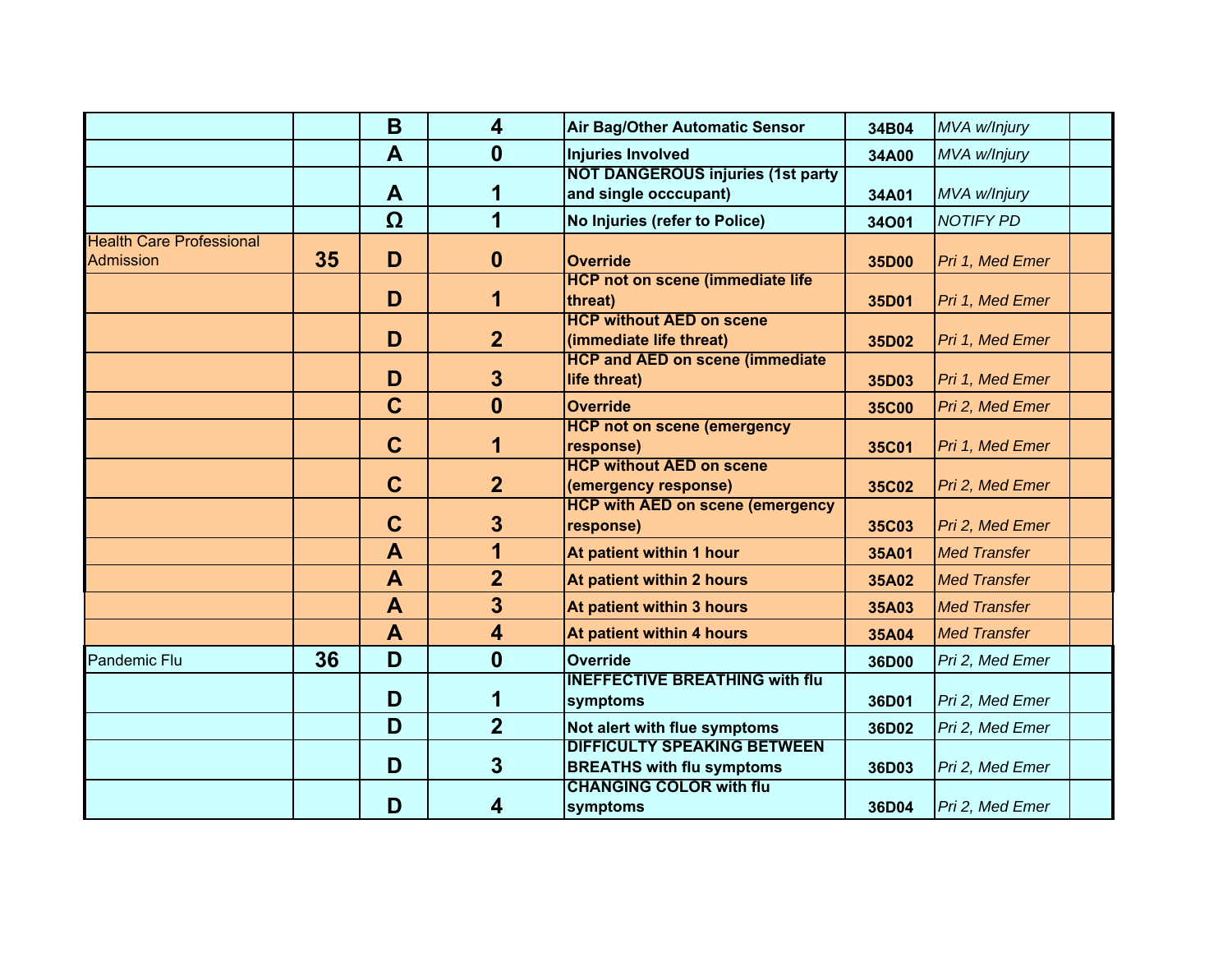|                                                     |    | B                       | $\overline{\mathbf{4}}$ | Air Bag/Other Automatic Sensor                                         | 34B04        | MVA w/Injury        |  |
|-----------------------------------------------------|----|-------------------------|-------------------------|------------------------------------------------------------------------|--------------|---------------------|--|
|                                                     |    | $\overline{\mathsf{A}}$ | $\mathbf{0}$            | <b>Injuries Involved</b>                                               | 34A00        | MVA w/Injury        |  |
|                                                     |    | A                       | 1                       | <b>NOT DANGEROUS injuries (1st party)</b><br>and single occcupant)     | 34A01        | MVA w/Injury        |  |
|                                                     |    | Ω                       | 1                       | No Injuries (refer to Police)                                          | 34001        | <b>NOTIFY PD</b>    |  |
| <b>Health Care Professional</b><br><b>Admission</b> | 35 | D                       | $\mathbf{0}$            | <b>Override</b>                                                        | 35D00        | Pri 1, Med Emer     |  |
|                                                     |    | D                       | 1                       | <b>HCP not on scene (immediate life</b><br>threat)                     | 35D01        | Pri 1, Med Emer     |  |
|                                                     |    | D                       | $\overline{2}$          | <b>HCP without AED on scene</b><br>(immediate life threat)             | 35D02        | Pri 1, Med Emer     |  |
|                                                     |    | D                       | $\mathbf{3}$            | <b>HCP and AED on scene (immediate</b><br>life threat)                 | 35D03        | Pri 1, Med Emer     |  |
|                                                     |    | $\mathbf C$             | $\mathbf{0}$            | <b>Override</b>                                                        | <b>35C00</b> | Pri 2, Med Emer     |  |
|                                                     |    | $\mathbf C$             | 1                       | <b>HCP not on scene (emergency</b><br>response)                        | 35C01        | Pri 1, Med Emer     |  |
|                                                     |    | $\mathbf C$             | $\overline{2}$          | <b>HCP without AED on scene</b><br>(emergency response)                | 35C02        | Pri 2, Med Emer     |  |
|                                                     |    | $\mathbf C$             | $\mathbf{3}$            | <b>HCP with AED on scene (emergency</b><br>response)                   | 35C03        | Pri 2, Med Emer     |  |
|                                                     |    | A                       | 1                       | At patient within 1 hour                                               | 35A01        | <b>Med Transfer</b> |  |
|                                                     |    | $\mathbf{A}$            | $\overline{2}$          | At patient within 2 hours                                              | 35A02        | <b>Med Transfer</b> |  |
|                                                     |    | $\mathbf{A}$            | $\overline{\mathbf{3}}$ | At patient within 3 hours                                              | 35A03        | <b>Med Transfer</b> |  |
|                                                     |    | $\mathbf{A}$            | $\overline{\mathbf{4}}$ | At patient within 4 hours                                              | 35A04        | <b>Med Transfer</b> |  |
| <b>Pandemic Flu</b>                                 | 36 | D                       | $\boldsymbol{0}$        | <b>Override</b>                                                        | 36D00        | Pri 2, Med Emer     |  |
|                                                     |    | D                       | 1                       | <b>INEFFECTIVE BREATHING with flu</b><br>symptoms                      | 36D01        | Pri 2, Med Emer     |  |
|                                                     |    | D                       | $\overline{2}$          | Not alert with flue symptoms                                           | 36D02        | Pri 2, Med Emer     |  |
|                                                     |    | D                       | $\overline{3}$          | <b>DIFFICULTY SPEAKING BETWEEN</b><br><b>BREATHS with flu symptoms</b> | 36D03        | Pri 2, Med Emer     |  |
|                                                     |    | D                       | 4                       | <b>CHANGING COLOR with flu</b><br>symptoms                             | 36D04        | Pri 2, Med Emer     |  |